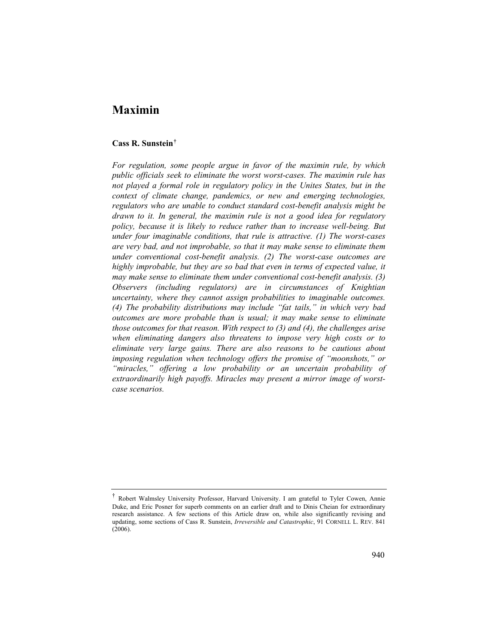# **Maximin**

## **Cass R. Sunstein[†](#page-0-0)**

*For regulation, some people argue in favor of the maximin rule, by which public officials seek to eliminate the worst worst-cases. The maximin rule has not played a formal role in regulatory policy in the Unites States, but in the context of climate change, pandemics, or new and emerging technologies, regulators who are unable to conduct standard cost-benefit analysis might be drawn to it. In general, the maximin rule is not a good idea for regulatory policy, because it is likely to reduce rather than to increase well-being. But under four imaginable conditions, that rule is attractive. (1) The worst-cases are very bad, and not improbable, so that it may make sense to eliminate them under conventional cost-benefit analysis. (2) The worst-case outcomes are highly improbable, but they are so bad that even in terms of expected value, it may make sense to eliminate them under conventional cost-benefit analysis. (3) Observers (including regulators) are in circumstances of Knightian uncertainty, where they cannot assign probabilities to imaginable outcomes. (4) The probability distributions may include "fat tails," in which very bad outcomes are more probable than is usual; it may make sense to eliminate those outcomes for that reason. With respect to (3) and (4), the challenges arise when eliminating dangers also threatens to impose very high costs or to eliminate very large gains. There are also reasons to be cautious about imposing regulation when technology offers the promise of "moonshots," or "miracles," offering a low probability or an uncertain probability of extraordinarily high payoffs. Miracles may present a mirror image of worstcase scenarios.*

<span id="page-0-0"></span><sup>†</sup> Robert Walmsley University Professor, Harvard University. I am grateful to Tyler Cowen, Annie Duke, and Eric Posner for superb comments on an earlier draft and to Dinis Cheian for extraordinary research assistance. A few sections of this Article draw on, while also significantly revising and updating, some sections of Cass R. Sunstein, *Irreversible and Catastrophic*, 91 CORNELL L. REV. 841 (2006).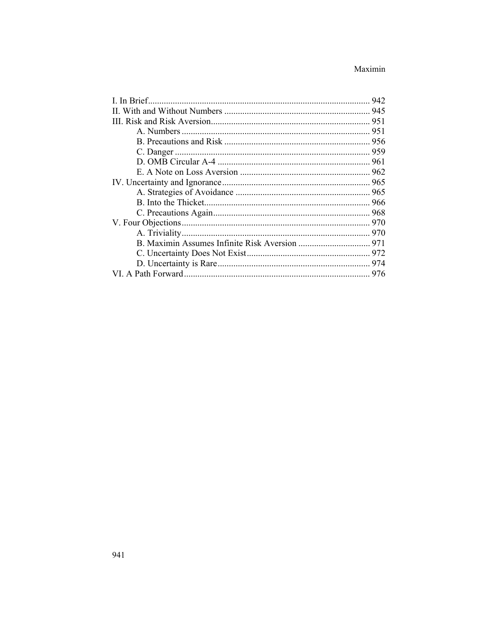# Maximin

| L In Brief. |  |
|-------------|--|
|             |  |
|             |  |
|             |  |
|             |  |
|             |  |
|             |  |
|             |  |
|             |  |
|             |  |
|             |  |
|             |  |
|             |  |
|             |  |
|             |  |
|             |  |
|             |  |
|             |  |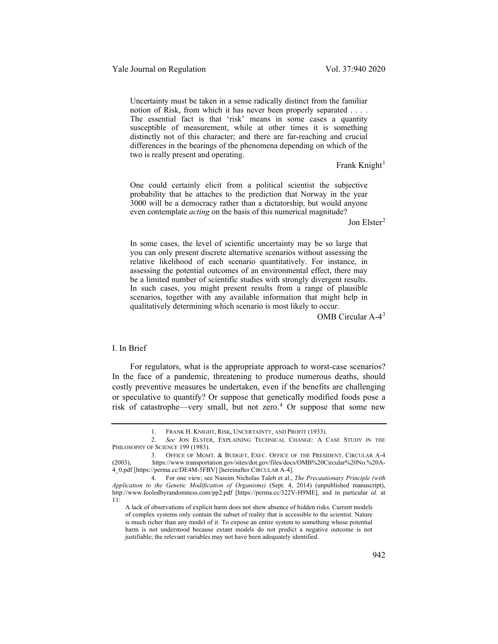Uncertainty must be taken in a sense radically distinct from the familiar notion of Risk, from which it has never been properly separated . . . . The essential fact is that 'risk' means in some cases a quantity susceptible of measurement, while at other times it is something distinctly not of this character; and there are far-reaching and crucial differences in the bearings of the phenomena depending on which of the two is really present and operating.

<span id="page-2-6"></span>Frank Knight $1$ 

One could certainly elicit from a political scientist the subjective probability that he attaches to the prediction that Norway in the year 3000 will be a democracy rather than a dictatorship, but would anyone even contemplate *acting* on the basis of this numerical magnitude?

<span id="page-2-7"></span>Jon Elster<sup>[2](#page-2-1)</sup>

In some cases, the level of scientific uncertainty may be so large that you can only present discrete alternative scenarios without assessing the relative likelihood of each scenario quantitatively. For instance, in assessing the potential outcomes of an environmental effect, there may be a limited number of scientific studies with strongly divergent results. In such cases, you might present results from a range of plausible scenarios, together with any available information that might help in qualitatively determining which scenario is most likely to occur.

<span id="page-2-5"></span><span id="page-2-4"></span>OMB Circular A-4[3](#page-2-2)

### I. In Brief

For regulators, what is the appropriate approach to worst-case scenarios? In the face of a pandemic, threatening to produce numerous deaths, should costly preventive measures be undertaken, even if the benefits are challenging or speculative to quantify? Or suppose that genetically modified foods pose a risk of catastrophe—very small, but not zero.<sup>[4](#page-2-3)</sup> Or suppose that some new

<sup>1.</sup> FRANK H. KNIGHT, RISK, UNCERTAINTY, AND PROFIT (1933).

<span id="page-2-1"></span><span id="page-2-0"></span><sup>2.</sup> *See* JON ELSTER, EXPLAINING TECHNICAL CHANGE: A CASE STUDY IN THE PHILOSOPHY OF SCIENCE 199 (1983).

<span id="page-2-2"></span><sup>3.</sup> OFFICE OF MGMT. & BUDGET, EXEC. OFFICE OF THE PRESIDENT, CIRCULAR A-4 (2003), https://www.transportation.gov/sites/dot.gov/files/docs/OMB%20Circular%20No.%20A-4\_0.pdf [https://perma.cc/DE4M-5FBV] [hereinafter CIRCULAR A-4].

<span id="page-2-3"></span><sup>4.</sup> For one view, see Nassim Nicholas Taleb et al., *The Precautionary Principle (with Application to the Genetic Modification of Organisms)* (Sept. 4, 2014) (unpublished manuscript), http://www.fooledbyrandomness.com/pp2.pdf [https://perma.cc/322V-H9ME], and in particular *id.* at 11:

A lack of observations of explicit harm does not show absence of hidden risks. Current models of complex systems only contain the subset of reality that is accessible to the scientist. Nature is much richer than any model of it. To expose an entire system to something whose potential harm is not understood because extant models do not predict a negative outcome is not justifiable; the relevant variables may not have been adequately identified.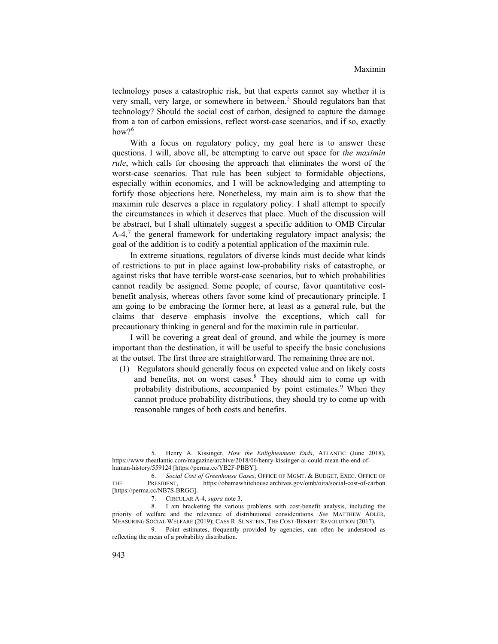technology poses a catastrophic risk, but that experts cannot say whether it is very small, very large, or somewhere in between.<sup>[5](#page-3-0)</sup> Should regulators ban that technology? Should the social cost of carbon, designed to capture the damage from a ton of carbon emissions, reflect worst-case scenarios, and if so, exactly how?<sup>[6](#page-3-1)</sup>

With a focus on regulatory policy, my goal here is to answer these questions. I will, above all, be attempting to carve out space for *the maximin rule*, which calls for choosing the approach that eliminates the worst of the worst-case scenarios. That rule has been subject to formidable objections, especially within economics, and I will be acknowledging and attempting to fortify those objections here. Nonetheless, my main aim is to show that the maximin rule deserves a place in regulatory policy. I shall attempt to specify the circumstances in which it deserves that place. Much of the discussion will be abstract, but I shall ultimately suggest a specific addition to OMB Circular  $A-4$ ,<sup>[7](#page-3-2)</sup> the general framework for undertaking regulatory impact analysis; the goal of the addition is to codify a potential application of the maximin rule.

In extreme situations, regulators of diverse kinds must decide what kinds of restrictions to put in place against low-probability risks of catastrophe, or against risks that have terrible worst-case scenarios, but to which probabilities cannot readily be assigned. Some people, of course, favor quantitative costbenefit analysis, whereas others favor some kind of precautionary principle. I am going to be embracing the former here, at least as a general rule, but the claims that deserve emphasis involve the exceptions, which call for precautionary thinking in general and for the maximin rule in particular.

I will be covering a great deal of ground, and while the journey is more important than the destination, it will be useful to specify the basic conclusions at the outset. The first three are straightforward. The remaining three are not.

<span id="page-3-5"></span>(1) Regulators should generally focus on expected value and on likely costs and benefits, not on worst cases. $8$  They should aim to come up with probability distributions, accompanied by point estimates.<sup>[9](#page-3-4)</sup> When they cannot produce probability distributions, they should try to come up with reasonable ranges of both costs and benefits.

<span id="page-3-0"></span><sup>5.</sup> Henry A. Kissinger, *How the Enlightenment Ends*, ATLANTIC (June 2018), https://www.theatlantic.com/magazine/archive/2018/06/henry-kissinger-ai-could-mean-the-end-ofhuman-history/559124 [https://perma.cc/YB2F-PBBY].

<span id="page-3-1"></span><sup>6.</sup> *Social Cost of Greenhouse Gases*, OFFICE OF MGMT. & BUDGET, EXEC. OFFICE OF THE PRESIDENT, https://obamawhitehouse.archives.gov/omb/oira/social-cost-of-carbon [https://perma.cc/NB7S-BRGG].

<sup>7.</sup> CIRCULAR A-4, *supra* note [3.](#page-2-4)

<span id="page-3-3"></span><span id="page-3-2"></span><sup>8.</sup> I am bracketing the various problems with cost-benefit analysis, including the priority of welfare and the relevance of distributional considerations. *See* MATTHEW ADLER, MEASURING SOCIAL WELFARE (2019); CASS R. SUNSTEIN, THE COST-BENEFIT REVOLUTION (2017).

<span id="page-3-4"></span><sup>9.</sup> Point estimates, frequently provided by agencies, can often be understood as reflecting the mean of a probability distribution.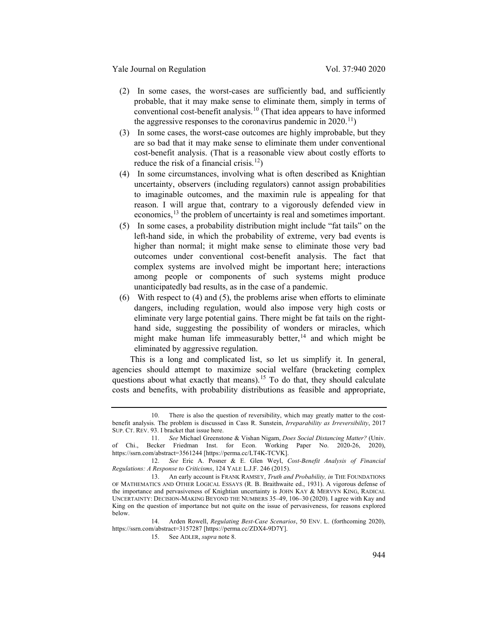Yale Journal on Regulation Vol. 37:940 2020

- (2) In some cases, the worst-cases are sufficiently bad, and sufficiently probable, that it may make sense to eliminate them, simply in terms of conventional cost-benefit analysis.<sup>[10](#page-4-0)</sup> (That idea appears to have informed the aggressive responses to the coronavirus pandemic in  $2020$ .<sup>11</sup>)
- <span id="page-4-8"></span>(3) In some cases, the worst-case outcomes are highly improbable, but they are so bad that it may make sense to eliminate them under conventional cost-benefit analysis. (That is a reasonable view about costly efforts to reduce the risk of a financial crisis.<sup>12</sup>)
- (4) In some circumstances, involving what is often described as Knightian uncertainty, observers (including regulators) cannot assign probabilities to imaginable outcomes, and the maximin rule is appealing for that reason. I will argue that, contrary to a vigorously defended view in economics,[13](#page-4-3) the problem of uncertainty is real and sometimes important.
- <span id="page-4-6"></span>(5) In some cases, a probability distribution might include "fat tails" on the left-hand side, in which the probability of extreme, very bad events is higher than normal; it might make sense to eliminate those very bad outcomes under conventional cost-benefit analysis. The fact that complex systems are involved might be important here; interactions among people or components of such systems might produce unanticipatedly bad results, as in the case of a pandemic.
- <span id="page-4-7"></span>(6) With respect to (4) and (5), the problems arise when efforts to eliminate dangers, including regulation, would also impose very high costs or eliminate very large potential gains. There might be fat tails on the righthand side, suggesting the possibility of wonders or miracles, which might make human life immeasurably better, $14$  and which might be eliminated by aggressive regulation.

This is a long and complicated list, so let us simplify it. In general, agencies should attempt to maximize social welfare (bracketing complex questions about what exactly that means).<sup>[15](#page-4-5)</sup> To do that, they should calculate costs and benefits, with probability distributions as feasible and appropriate,

<span id="page-4-0"></span><sup>10.</sup> There is also the question of reversibility, which may greatly matter to the costbenefit analysis. The problem is discussed in Cass R. Sunstein, *Irreparability as Irreversibility*, 2017 SUP. CT. REV. 93. I bracket that issue here.

<span id="page-4-1"></span><sup>11.</sup> *See* Michael Greenstone & Vishan Nigam, *Does Social Distancing Matter?* (Univ. of Chi., Becker Friedman Inst. for Econ. Working Paper No. 2020-26, 2020), https://ssrn.com/abstract=3561244 [https://perma.cc/LT4K-TCVK].

<span id="page-4-2"></span><sup>12.</sup> *See* Eric A. Posner & E. Glen Weyl, *Cost-Benefit Analysis of Financial Regulations: A Response to Criticisms*, 124 YALE L.J.F. 246 (2015).

<span id="page-4-3"></span><sup>13.</sup> An early account is FRANK RAMSEY, *Truth and Probability, in* THE FOUNDATIONS OF MATHEMATICS AND OTHER LOGICAL ESSAYS (R. B. Braithwaite ed., 1931). A vigorous defense of the importance and pervasiveness of Knightian uncertainty is JOHN KAY & MERVYN KING, RADICAL UNCERTAINTY: DECISION-MAKING BEYOND THE NUMBERS 35–49, 106–30 (2020). I agree with Kay and King on the question of importance but not quite on the issue of pervasiveness, for reasons explored below.

<span id="page-4-5"></span><span id="page-4-4"></span><sup>14.</sup> Arden Rowell, *Regulating Best-Case Scenarios*, 50 ENV. L. (forthcoming 2020), https://ssrn.com/abstract=3157287 [https://perma.cc/ZDX4-9D7Y].

<sup>15.</sup> See ADLER, *supra* not[e 8.](#page-3-5)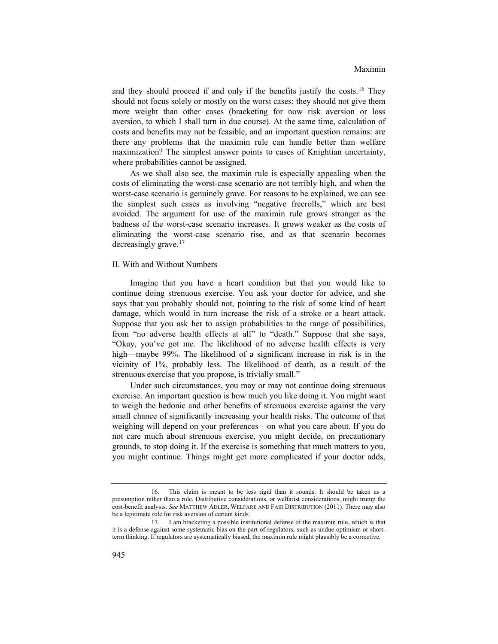and they should proceed if and only if the benefits justify the costs.<sup>[16](#page-5-0)</sup> They should not focus solely or mostly on the worst cases; they should not give them more weight than other cases (bracketing for now risk aversion or loss aversion, to which I shall turn in due course). At the same time, calculation of costs and benefits may not be feasible, and an important question remains: are there any problems that the maximin rule can handle better than welfare maximization? The simplest answer points to cases of Knightian uncertainty, where probabilities cannot be assigned.

As we shall also see, the maximin rule is especially appealing when the costs of eliminating the worst-case scenario are not terribly high, and when the worst-case scenario is genuinely grave. For reasons to be explained, we can see the simplest such cases as involving "negative freerolls," which are best avoided. The argument for use of the maximin rule grows stronger as the badness of the worst-case scenario increases. It grows weaker as the costs of eliminating the worst-case scenario rise, and as that scenario becomes decreasingly grave.<sup>[17](#page-5-1)</sup>

### II. With and Without Numbers

Imagine that you have a heart condition but that you would like to continue doing strenuous exercise. You ask your doctor for advice, and she says that you probably should not, pointing to the risk of some kind of heart damage, which would in turn increase the risk of a stroke or a heart attack. Suppose that you ask her to assign probabilities to the range of possibilities, from "no adverse health effects at all" to "death." Suppose that she says, "Okay, you've got me. The likelihood of no adverse health effects is very high—maybe 99%. The likelihood of a significant increase in risk is in the vicinity of 1%, probably less. The likelihood of death, as a result of the strenuous exercise that you propose, is trivially small."

Under such circumstances, you may or may not continue doing strenuous exercise. An important question is how much you like doing it. You might want to weigh the hedonic and other benefits of strenuous exercise against the very small chance of significantly increasing your health risks. The outcome of that weighing will depend on your preferences—on what you care about. If you do not care much about strenuous exercise, you might decide, on precautionary grounds, to stop doing it. If the exercise is something that much matters to you, you might continue. Things might get more complicated if your doctor adds,

<span id="page-5-0"></span><sup>16.</sup> This claim is meant to be less rigid than it sounds. It should be taken as a presumption rather than a rule. Distributive considerations, or welfarist considerations, might trump the cost-benefit analysis. *See* MATTHEW ADLER, WELFARE AND FAIR DISTRIBUTION (2011). There may also be a legitimate role for risk aversion of certain kinds.

<span id="page-5-1"></span><sup>17.</sup> I am bracketing a possible institutional defense of the maximin rule, which is that it is a defense against some systematic bias on the part of regulators, such as undue optimism or shortterm thinking. If regulators are systematically biased, the maximin rule might plausibly be a corrective.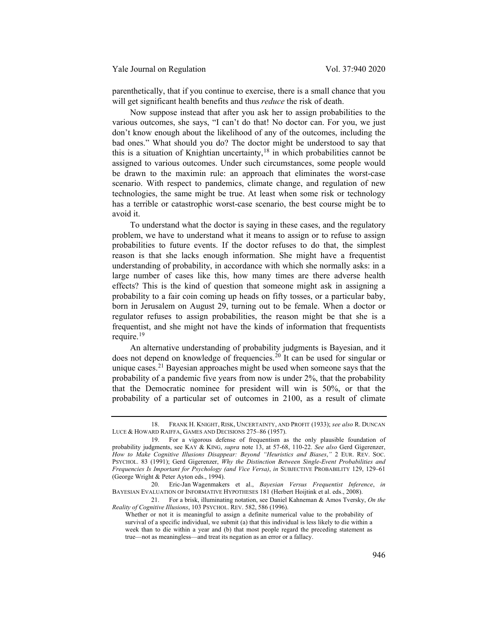parenthetically, that if you continue to exercise, there is a small chance that you will get significant health benefits and thus *reduce* the risk of death.

<span id="page-6-4"></span>Now suppose instead that after you ask her to assign probabilities to the various outcomes, she says, "I can't do that! No doctor can. For you, we just don't know enough about the likelihood of any of the outcomes, including the bad ones." What should you do? The doctor might be understood to say that this is a situation of Knightian uncertainty,  $18$  in which probabilities cannot be assigned to various outcomes. Under such circumstances, some people would be drawn to the maximin rule: an approach that eliminates the worst-case scenario. With respect to pandemics, climate change, and regulation of new technologies, the same might be true. At least when some risk or technology has a terrible or catastrophic worst-case scenario, the best course might be to avoid it.

To understand what the doctor is saying in these cases, and the regulatory problem, we have to understand what it means to assign or to refuse to assign probabilities to future events. If the doctor refuses to do that, the simplest reason is that she lacks enough information. She might have a frequentist understanding of probability, in accordance with which she normally asks: in a large number of cases like this, how many times are there adverse health effects? This is the kind of question that someone might ask in assigning a probability to a fair coin coming up heads on fifty tosses, or a particular baby, born in Jerusalem on August 29, turning out to be female. When a doctor or regulator refuses to assign probabilities, the reason might be that she is a frequentist, and she might not have the kinds of information that frequentists require.<sup>[19](#page-6-1)</sup>

An alternative understanding of probability judgments is Bayesian, and it does not depend on knowledge of frequencies.<sup>[20](#page-6-2)</sup> It can be used for singular or unique cases.<sup>[21](#page-6-3)</sup> Bayesian approaches might be used when someone says that the probability of a pandemic five years from now is under 2%, that the probability that the Democratic nominee for president will win is 50%, or that the probability of a particular set of outcomes in 2100, as a result of climate

<span id="page-6-0"></span><sup>18.</sup> FRANK H. KNIGHT, RISK, UNCERTAINTY, AND PROFIT (1933); *see also* R. DUNCAN LUCE & HOWARD RAIFFA, GAMES AND DECISIONS 275–86 (1957).

<span id="page-6-1"></span><sup>19.</sup> For a vigorous defense of frequentism as the only plausible foundation of probability judgments, see KAY & KING, *supra* note [13,](#page-4-6) at 57-68, 110-22. *See also* Gerd Gigerenzer, *How to Make Cognitive Illusions Disappear: Beyond "Heuristics and Biases*,*"* 2 EUR. REV. SOC. PSYCHOL. 83 (1991); Gerd Gigerenzer, *Why the Distinction Between Single-Event Probabilities and Frequencies Is Important for Psychology (and Vice Versa)*, *in* SUBJECTIVE PROBABILITY 129, 129–61 (George Wright & Peter Ayton eds., 1994).

<span id="page-6-2"></span><sup>20.</sup> Eric-Jan Wagenmakers et al., *Bayesian Versus Frequentist Inference*, *in* BAYESIAN EVALUATION OF INFORMATIVE HYPOTHESES 181 (Herbert Hoijtink et al. eds., 2008).

<span id="page-6-3"></span><sup>21.</sup> For a brisk, illuminating notation, see Daniel Kahneman & Amos Tversky, *On the Reality of Cognitive Illusions*, 103 PSYCHOL. REV. 582, 586 (1996).

Whether or not it is meaningful to assign a definite numerical value to the probability of survival of a specific individual, we submit (a) that this individual is less likely to die within a week than to die within a year and (b) that most people regard the preceding statement as true—not as meaningless—and treat its negation as an error or a fallacy.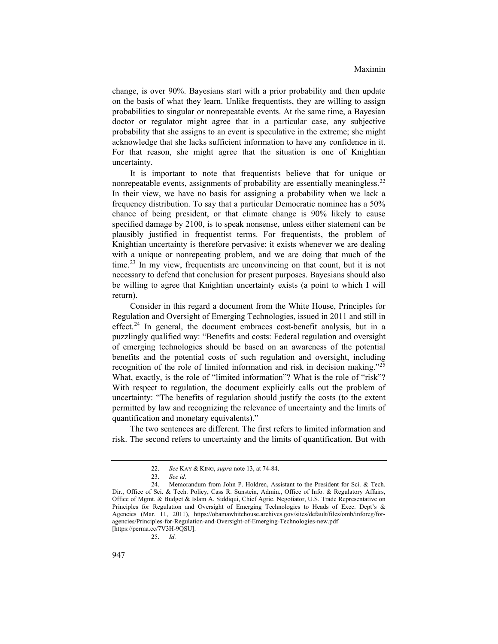change, is over 90%. Bayesians start with a prior probability and then update on the basis of what they learn. Unlike frequentists, they are willing to assign probabilities to singular or nonrepeatable events. At the same time, a Bayesian doctor or regulator might agree that in a particular case, any subjective probability that she assigns to an event is speculative in the extreme; she might acknowledge that she lacks sufficient information to have any confidence in it. For that reason, she might agree that the situation is one of Knightian uncertainty.

It is important to note that frequentists believe that for unique or nonrepeatable events, assignments of probability are essentially meaningless.<sup>[22](#page-7-0)</sup> In their view, we have no basis for assigning a probability when we lack a frequency distribution. To say that a particular Democratic nominee has a 50% chance of being president, or that climate change is 90% likely to cause specified damage by 2100, is to speak nonsense, unless either statement can be plausibly justified in frequentist terms. For frequentists, the problem of Knightian uncertainty is therefore pervasive; it exists whenever we are dealing with a unique or nonrepeating problem, and we are doing that much of the time.<sup>[23](#page-7-1)</sup> In my view, frequentists are unconvincing on that count, but it is not necessary to defend that conclusion for present purposes. Bayesians should also be willing to agree that Knightian uncertainty exists (a point to which I will return).

Consider in this regard a document from the White House, Principles for Regulation and Oversight of Emerging Technologies, issued in 2011 and still in effect.<sup>[24](#page-7-2)</sup> In general, the document embraces cost-benefit analysis, but in a puzzlingly qualified way: "Benefits and costs: Federal regulation and oversight of emerging technologies should be based on an awareness of the potential benefits and the potential costs of such regulation and oversight, including recognition of the role of limited information and risk in decision making."[25](#page-7-3) What, exactly, is the role of "limited information"? What is the role of "risk"? With respect to regulation, the document explicitly calls out the problem of uncertainty: "The benefits of regulation should justify the costs (to the extent permitted by law and recognizing the relevance of uncertainty and the limits of quantification and monetary equivalents)."

The two sentences are different. The first refers to limited information and risk. The second refers to uncertainty and the limits of quantification. But with

25. *Id.*

<sup>22.</sup> *See* KAY & KING, *supra* not[e 13,](#page-4-6) at 74-84.

<sup>23.</sup> *See id.*

<span id="page-7-3"></span><span id="page-7-2"></span><span id="page-7-1"></span><span id="page-7-0"></span><sup>24.</sup> Memorandum from John P. Holdren, Assistant to the President for Sci. & Tech. Dir., Office of Sci. & Tech. Policy, Cass R. Sunstein, Admin., Office of Info. & Regulatory Affairs, Office of Mgmt. & Budget & Islam A. Siddiqui, Chief Agric. Negotiator, U.S. Trade Representative on Principles for Regulation and Oversight of Emerging Technologies to Heads of Exec. Dept's & Agencies (Mar. 11, 2011), https://obamawhitehouse.archives.gov/sites/default/files/omb/inforeg/foragencies/Principles-for-Regulation-and-Oversight-of-Emerging-Technologies-new.pdf [https://perma.cc/7V3H-9QSU].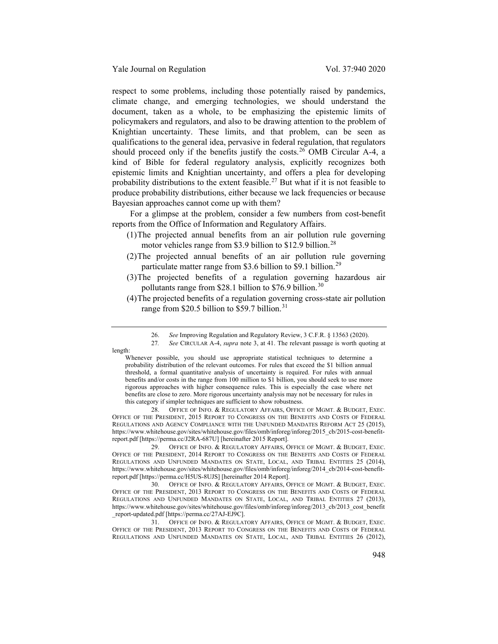respect to some problems, including those potentially raised by pandemics, climate change, and emerging technologies, we should understand the document, taken as a whole, to be emphasizing the epistemic limits of policymakers and regulators, and also to be drawing attention to the problem of Knightian uncertainty. These limits, and that problem, can be seen as qualifications to the general idea, pervasive in federal regulation, that regulators should proceed only if the benefits justify the costs. [26](#page-8-0) OMB Circular A-4, a kind of Bible for federal regulatory analysis, explicitly recognizes both epistemic limits and Knightian uncertainty, and offers a plea for developing probability distributions to the extent feasible.<sup>[27](#page-8-1)</sup> But what if it is not feasible to produce probability distributions, either because we lack frequencies or because Bayesian approaches cannot come up with them?

For a glimpse at the problem, consider a few numbers from cost-benefit reports from the Office of Information and Regulatory Affairs.

- (1)The projected annual benefits from an air pollution rule governing motor vehicles range from \$3.9 billion to \$12.9 billion.<sup>[28](#page-8-2)</sup>
- (2)The projected annual benefits of an air pollution rule governing particulate matter range from \$3.6 billion to \$9.1 billion.<sup>[29](#page-8-3)</sup>
- (3)The projected benefits of a regulation governing hazardous air pollutants range from \$28.1 billion to \$76.9 billion.<sup>[30](#page-8-4)</sup>
- (4)The projected benefits of a regulation governing cross-state air pollution range from \$20.5 billion to \$59.7 billion.<sup>[31](#page-8-5)</sup>

<span id="page-8-1"></span><span id="page-8-0"></span>27*. See* CIRCULAR A-4, *supra* note [3,](#page-2-4) at 41. The relevant passage is worth quoting at length:

<span id="page-8-2"></span>28. OFFICE OF INFO. & REGULATORY AFFAIRS, OFFICE OF MGMT. & BUDGET, EXEC. OFFICE OF THE PRESIDENT, 2015 REPORT TO CONGRESS ON THE BENEFITS AND COSTS OF FEDERAL REGULATIONS AND AGENCY COMPLIANCE WITH THE UNFUNDED MANDATES REFORM ACT 25 (2015), https://www.whitehouse.gov/sites/whitehouse.gov/files/omb/inforeg/inforeg/2015\_cb/2015-cost-benefitreport.pdf [https://perma.cc/J2RA-687U] [hereinafter 2015 Report].

<span id="page-8-3"></span>29. OFFICE OF INFO. & REGULATORY AFFAIRS, OFFICE OF MGMT. & BUDGET, EXEC. OFFICE OF THE PRESIDENT, 2014 REPORT TO CONGRESS ON THE BENEFITS AND COSTS OF FEDERAL REGULATIONS AND UNFUNDED MANDATES ON STATE, LOCAL, AND TRIBAL ENTITIES 25 (2014), https://www.whitehouse.gov/sites/whitehouse.gov/files/omb/inforeg/inforeg/2014\_cb/2014-cost-benefitreport.pdf [https://perma.cc/H5US-8UJS] [hereinafter 2014 Report].

<span id="page-8-4"></span>30. OFFICE OF INFO. & REGULATORY AFFAIRS, OFFICE OF MGMT. & BUDGET, EXEC. OFFICE OF THE PRESIDENT, 2013 REPORT TO CONGRESS ON THE BENEFITS AND COSTS OF FEDERAL REGULATIONS AND UNFUNDED MANDATES ON STATE, LOCAL, AND TRIBAL ENTITIES 27 (2013), https://www.whitehouse.gov/sites/whitehouse.gov/files/omb/inforeg/inforeg/2013\_cb/2013\_cost\_benefit \_report-updated.pdf [https://perma.cc/27AJ-EJ9C].

<span id="page-8-5"></span>31. OFFICE OF INFO. & REGULATORY AFFAIRS, OFFICE OF MGMT. & BUDGET, EXEC. OFFICE OF THE PRESIDENT, 2013 REPORT TO CONGRESS ON THE BENEFITS AND COSTS OF FEDERAL REGULATIONS AND UNFUNDED MANDATES ON STATE, LOCAL, AND TRIBAL ENTITIES 26 (2012),

<span id="page-8-8"></span><span id="page-8-7"></span><span id="page-8-6"></span><sup>26.</sup> *See* Improving Regulation and Regulatory Review, 3 C.F.R. § 13563 (2020).

Whenever possible, you should use appropriate statistical techniques to determine a probability distribution of the relevant outcomes. For rules that exceed the \$1 billion annual threshold, a formal quantitative analysis of uncertainty is required. For rules with annual benefits and/or costs in the range from 100 million to \$1 billion, you should seek to use more rigorous approaches with higher consequence rules. This is especially the case where net benefits are close to zero. More rigorous uncertainty analysis may not be necessary for rules in this category if simpler techniques are sufficient to show robustness.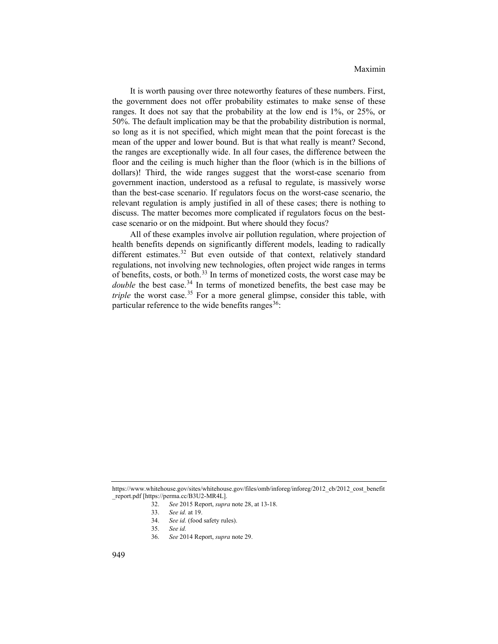It is worth pausing over three noteworthy features of these numbers. First, the government does not offer probability estimates to make sense of these ranges. It does not say that the probability at the low end is 1%, or 25%, or 50%. The default implication may be that the probability distribution is normal, so long as it is not specified, which might mean that the point forecast is the mean of the upper and lower bound. But is that what really is meant? Second, the ranges are exceptionally wide. In all four cases, the difference between the floor and the ceiling is much higher than the floor (which is in the billions of dollars)! Third, the wide ranges suggest that the worst-case scenario from government inaction, understood as a refusal to regulate, is massively worse than the best-case scenario. If regulators focus on the worst-case scenario, the relevant regulation is amply justified in all of these cases; there is nothing to discuss. The matter becomes more complicated if regulators focus on the bestcase scenario or on the midpoint. But where should they focus?

All of these examples involve air pollution regulation, where projection of health benefits depends on significantly different models, leading to radically different estimates.<sup>[32](#page-9-0)</sup> But even outside of that context, relatively standard regulations, not involving new technologies, often project wide ranges in terms of benefits, costs, or both.[33](#page-9-1) In terms of monetized costs, the worst case may be *double* the best case.<sup>[34](#page-9-2)</sup> In terms of monetized benefits, the best case may be *triple* the worst case.<sup>[35](#page-9-3)</sup> For a more general glimpse, consider this table, with particular reference to the wide benefits ranges  $36$ :

36. *See* 2014 Report, *supra* note [29.](#page-8-7)

<span id="page-9-4"></span><span id="page-9-3"></span><span id="page-9-2"></span><span id="page-9-1"></span><span id="page-9-0"></span>https://www.whitehouse.gov/sites/whitehouse.gov/files/omb/inforeg/inforeg/2012\_cb/2012\_cost\_benefit \_report.pdf [https://perma.cc/B3U2-MR4L].

<sup>32.</sup> *See* 2015 Report, *supra* note [28,](#page-8-6) at 13-18.

<sup>33.</sup> *See id.* at 19.

<sup>34.</sup> *See id.* (food safety rules).

<sup>35.</sup> *See id.*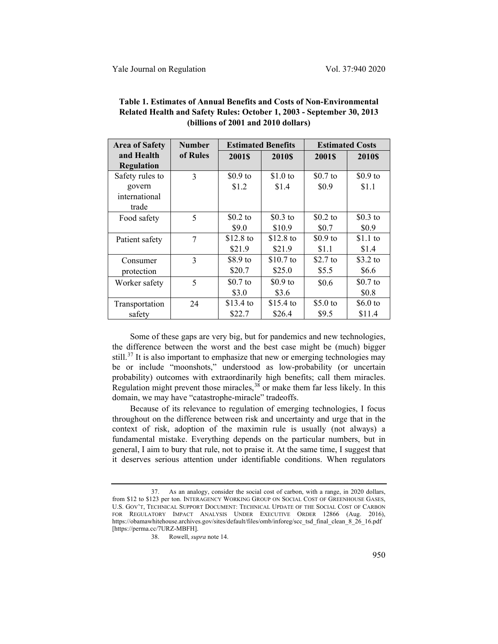| <b>Area of Safety</b> | <b>Number</b>  | <b>Estimated Benefits</b> |                   | <b>Estimated Costs</b> |            |  |
|-----------------------|----------------|---------------------------|-------------------|------------------------|------------|--|
| and Health            | of Rules       | <b>2001S</b>              | 2010\$            | 2001\$                 | 2010\$     |  |
| <b>Regulation</b>     |                |                           |                   |                        |            |  |
| Safety rules to       | $\overline{3}$ | $$0.9$ to                 | $$1.0 \text{ to}$ | $$0.7$ to              | $$0.9$ to  |  |
| govern                |                | \$1.2                     | \$1.4             | \$0.9                  | \$1.1      |  |
| international         |                |                           |                   |                        |            |  |
| trade                 |                |                           |                   |                        |            |  |
| Food safety           | 5              | $$0.2$$ to                | $$0.3$ to         | $$0.2$ to              | $$0.3$ to  |  |
|                       |                | \$9.0                     | \$10.9            | \$0.7                  | \$0.9      |  |
| Patient safety        | 7              | $$12.8$$ to               | $$12.8$$ to       | $$0.9$ to              | $$1.1$ to  |  |
|                       |                | \$21.9                    | \$21.9            | \$1.1                  | \$1.4      |  |
| Consumer              | 3              | \$8.9 to                  | $$10.7$ to        | $$2.7$ to              | $$3.2$ to  |  |
| protection            |                | \$20.7                    | \$25.0            | \$5.5                  | \$6.6      |  |
| Worker safety         | 5              | $$0.7$ to                 | $$0.9$ to         | \$0.6                  | $$0.7$ to  |  |
|                       |                | \$3.0                     | \$3.6             |                        | \$0.8      |  |
| Transportation        | 24             | $$13.4$ to                | $$15.4$ to        | $$5.0 \text{ to}$      | $$6.0$$ to |  |
| safety                |                | \$22.7                    | \$26.4            | \$9.5                  | \$11.4     |  |

# **Table 1. Estimates of Annual Benefits and Costs of Non-Environmental Related Health and Safety Rules: October 1, 2003 - September 30, 2013 (billions of 2001 and 2010 dollars)**

Some of these gaps are very big, but for pandemics and new technologies, the difference between the worst and the best case might be (much) bigger still. $37$  It is also important to emphasize that new or emerging technologies may be or include "moonshots," understood as low-probability (or uncertain probability) outcomes with extraordinarily high benefits; call them miracles. Regulation might prevent those miracles,  $38$  or make them far less likely. In this domain, we may have "catastrophe-miracle" tradeoffs.

Because of its relevance to regulation of emerging technologies, I focus throughout on the difference between risk and uncertainty and urge that in the context of risk, adoption of the maximin rule is usually (not always) a fundamental mistake. Everything depends on the particular numbers, but in general, I aim to bury that rule, not to praise it. At the same time, I suggest that it deserves serious attention under identifiable conditions. When regulators

<span id="page-10-1"></span><span id="page-10-0"></span><sup>37.</sup> As an analogy, consider the social cost of carbon, with a range, in 2020 dollars, from \$12 to \$123 per ton. INTERAGENCY WORKING GROUP ON SOCIAL COST OF GREENHOUSE GASES, U.S. GOV'T, TECHNICAL SUPPORT DOCUMENT: TECHNICAL UPDATE OF THE SOCIAL COST OF CARBON FOR REGULATORY IMPACT ANALYSIS UNDER EXECUTIVE ORDER 12866 (Aug. 2016), https://obamawhitehouse.archives.gov/sites/default/files/omb/inforeg/scc\_tsd\_final\_clean\_8\_26\_16.pdf [https://perma.cc/7URZ-MBFH].

<sup>38.</sup> Rowell, *supra* not[e 14.](#page-4-7)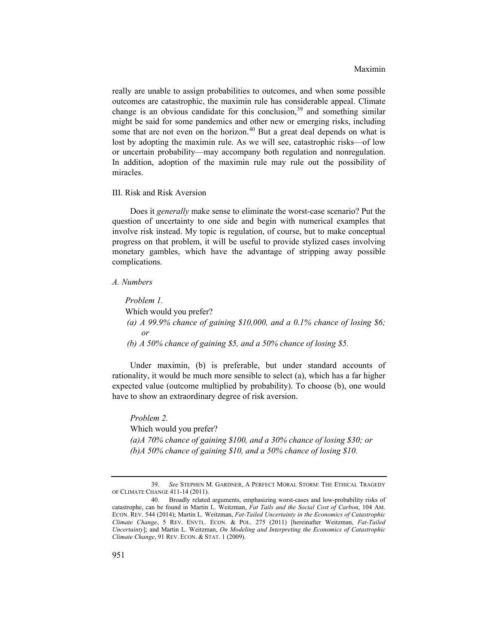<span id="page-11-2"></span>really are unable to assign probabilities to outcomes, and when some possible outcomes are catastrophic, the maximin rule has considerable appeal. Climate change is an obvious candidate for this conclusion,<sup>[39](#page-11-0)</sup> and something similar might be said for some pandemics and other new or emerging risks, including some that are not even on the horizon.<sup>[40](#page-11-1)</sup> But a great deal depends on what is lost by adopting the maximin rule. As we will see, catastrophic risks—of low or uncertain probability—may accompany both regulation and nonregulation. In addition, adoption of the maximin rule may rule out the possibility of miracles.

#### III. Risk and Risk Aversion

Does it *generally* make sense to eliminate the worst-case scenario? Put the question of uncertainty to one side and begin with numerical examples that involve risk instead. My topic is regulation, of course, but to make conceptual progress on that problem, it will be useful to provide stylized cases involving monetary gambles, which have the advantage of stripping away possible complications.

## *A. Numbers*

*Problem 1.* Which would you prefer? *(a) A 99.9% chance of gaining \$10,000, and a 0.1% chance of losing \$6; or (b) A 50% chance of gaining \$5, and a 50% chance of losing \$5.*

Under maximin, (b) is preferable, but under standard accounts of rationality, it would be much more sensible to select (a), which has a far higher expected value (outcome multiplied by probability). To choose (b), one would have to show an extraordinary degree of risk aversion.

*Problem 2.* Which would you prefer? *(a)A 70% chance of gaining \$100, and a 30% chance of losing \$30; or (b)A 50% chance of gaining \$10, and a 50% chance of losing \$10.*

<span id="page-11-0"></span><sup>39.</sup> *See* STEPHEN M. GARDNER, A PERFECT MORAL STORM: THE ETHICAL TRAGEDY OF CLIMATE CHANGE 411-14 (2011).

<span id="page-11-1"></span><sup>40.</sup> Broadly related arguments, emphasizing worst-cases and low-probability risks of catastrophe, can be found in Martin L. Weitzman, *Fat Tails and the Social Cost of Carbon*, 104 AM. ECON. REV. 544 (2014); Martin L. Weitzman, *Fat-Tailed Uncertainty in the Economics of Catastrophic Climate Change*, 5 REV. ENVTL. ECON. & POL. 275 (2011) [hereinafter Weitzman, *Fat-Tailed Uncertainty*]; and Martin L. Weitzman, *On Modeling and Interpreting the Economics of Catastrophic Climate Change*, 91 REV. ECON. & STAT. 1 (2009).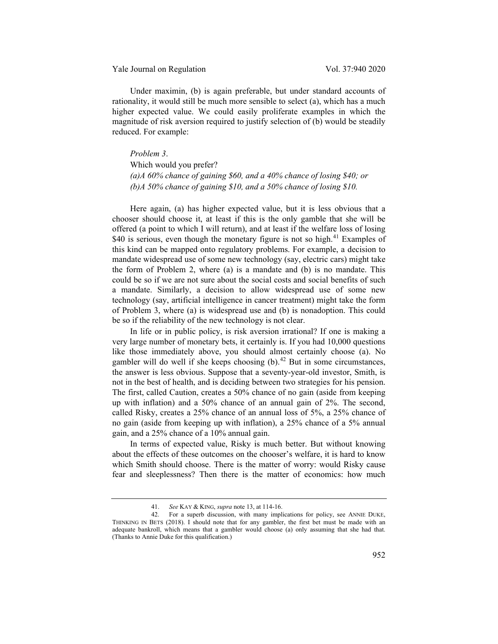Yale Journal on Regulation Vol. 37:940 2020

Under maximin, (b) is again preferable, but under standard accounts of rationality, it would still be much more sensible to select (a), which has a much higher expected value. We could easily proliferate examples in which the magnitude of risk aversion required to justify selection of (b) would be steadily reduced. For example:

## *Problem 3*.

Which would you prefer?

*(a)A 60% chance of gaining \$60, and a 40% chance of losing \$40; or (b)A 50% chance of gaining \$10, and a 50% chance of losing \$10.*

Here again, (a) has higher expected value, but it is less obvious that a chooser should choose it, at least if this is the only gamble that she will be offered (a point to which I will return), and at least if the welfare loss of losing \$40 is serious, even though the monetary figure is not so high.<sup>[41](#page-12-0)</sup> Examples of this kind can be mapped onto regulatory problems. For example, a decision to mandate widespread use of some new technology (say, electric cars) might take the form of Problem 2, where (a) is a mandate and (b) is no mandate. This could be so if we are not sure about the social costs and social benefits of such a mandate. Similarly, a decision to allow widespread use of some new technology (say, artificial intelligence in cancer treatment) might take the form of Problem 3, where (a) is widespread use and (b) is nonadoption. This could be so if the reliability of the new technology is not clear.

In life or in public policy, is risk aversion irrational? If one is making a very large number of monetary bets, it certainly is. If you had 10,000 questions like those immediately above, you should almost certainly choose (a). No gambler will do well if she keeps choosing  $(b)$ .<sup>[42](#page-12-1)</sup> But in some circumstances, the answer is less obvious. Suppose that a seventy-year-old investor, Smith, is not in the best of health, and is deciding between two strategies for his pension. The first, called Caution, creates a 50% chance of no gain (aside from keeping up with inflation) and a 50% chance of an annual gain of 2%. The second, called Risky, creates a 25% chance of an annual loss of 5%, a 25% chance of no gain (aside from keeping up with inflation), a 25% chance of a 5% annual gain, and a 25% chance of a 10% annual gain.

In terms of expected value, Risky is much better. But without knowing about the effects of these outcomes on the chooser's welfare, it is hard to know which Smith should choose. There is the matter of worry: would Risky cause fear and sleeplessness? Then there is the matter of economics: how much

<sup>41.</sup> *See* KAY & KING, *supra* not[e 13,](#page-4-6) at 114-16.

<span id="page-12-1"></span><span id="page-12-0"></span><sup>42.</sup> For a superb discussion, with many implications for policy, see ANNIE DUKE, THINKING IN BETS (2018). I should note that for any gambler, the first bet must be made with an adequate bankroll, which means that a gambler would choose (a) only assuming that she had that. (Thanks to Annie Duke for this qualification.)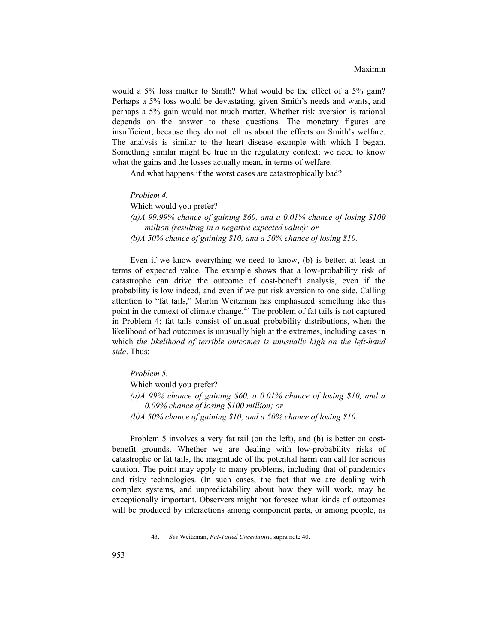would a 5% loss matter to Smith? What would be the effect of a 5% gain? Perhaps a 5% loss would be devastating, given Smith's needs and wants, and perhaps a 5% gain would not much matter. Whether risk aversion is rational depends on the answer to these questions. The monetary figures are insufficient, because they do not tell us about the effects on Smith's welfare. The analysis is similar to the heart disease example with which I began. Something similar might be true in the regulatory context; we need to know what the gains and the losses actually mean, in terms of welfare.

And what happens if the worst cases are catastrophically bad?

*Problem 4.* Which would you prefer? *(a)A 99.99% chance of gaining \$60, and a 0.01% chance of losing \$100 million (resulting in a negative expected value); or (b)A 50% chance of gaining \$10, and a 50% chance of losing \$10.*

Even if we know everything we need to know, (b) is better, at least in terms of expected value. The example shows that a low-probability risk of catastrophe can drive the outcome of cost-benefit analysis, even if the probability is low indeed, and even if we put risk aversion to one side. Calling attention to "fat tails," Martin Weitzman has emphasized something like this point in the context of climate change.<sup>[43](#page-13-0)</sup> The problem of fat tails is not captured in Problem 4; fat tails consist of unusual probability distributions, when the likelihood of bad outcomes is unusually high at the extremes, including cases in which *the likelihood of terrible outcomes is unusually high on the left-hand side*. Thus:

*Problem 5.* Which would you prefer? *(a)A 99% chance of gaining \$60, a 0.01% chance of losing \$10, and a 0.09% chance of losing \$100 million; or (b)A 50% chance of gaining \$10, and a 50% chance of losing \$10.*

<span id="page-13-0"></span>Problem 5 involves a very fat tail (on the left), and (b) is better on costbenefit grounds. Whether we are dealing with low-probability risks of catastrophe or fat tails, the magnitude of the potential harm can call for serious caution. The point may apply to many problems, including that of pandemics and risky technologies. (In such cases, the fact that we are dealing with complex systems, and unpredictability about how they will work, may be exceptionally important. Observers might not foresee what kinds of outcomes will be produced by interactions among component parts, or among people, as

<sup>43.</sup> *See* Weitzman, *Fat-Tailed Uncertainty*, supra not[e 40.](#page-11-2)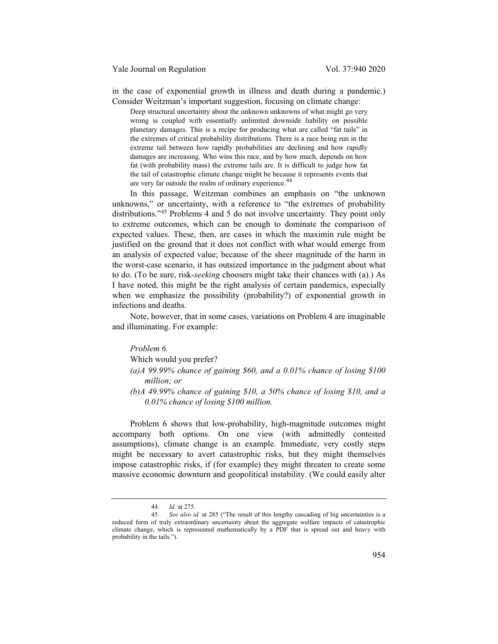Yale Journal on Regulation Vol. 37:940 2020

in the case of exponential growth in illness and death during a pandemic.) Consider Weitzman's important suggestion, focusing on climate change:

Deep structural uncertainty about the unknown unknowns of what might go very wrong is coupled with essentially unlimited downside liability on possible planetary damages. This is a recipe for producing what are called "fat tails" in the extremes of critical probability distributions. There is a race being run in the extreme tail between how rapidly probabilities are declining and how rapidly damages are increasing. Who wins this race, and by how much, depends on how fat (with probability mass) the extreme tails are. It is difficult to judge how fat the tail of catastrophic climate change might be because it represents events that are very far outside the realm of ordinary experience.<sup>[44](#page-14-0)</sup>

In this passage, Weitzman combines an emphasis on "the unknown unknowns," or uncertainty, with a reference to "the extremes of probability distributions."[45](#page-14-1) Problems 4 and 5 do not involve uncertainty. They point only to extreme outcomes, which can be enough to dominate the comparison of expected values. These, then, are cases in which the maximin rule might be justified on the ground that it does not conflict with what would emerge from an analysis of expected value; because of the sheer magnitude of the harm in the worst-case scenario, it has outsized importance in the judgment about what to do. (To be sure, risk-*seeking* choosers might take their chances with (a).) As I have noted, this might be the right analysis of certain pandemics, especially when we emphasize the possibility (probability?) of exponential growth in infections and deaths.

Note, however, that in some cases, variations on Problem 4 are imaginable and illuminating. For example:

*Problem 6.*

Which would you prefer?

- *(a)A 99.99% chance of gaining \$60, and a 0.01% chance of losing \$100 million; or*
- *(b)A 49.99% chance of gaining \$10, a 50% chance of losing \$10, and a 0.01% chance of losing \$100 million.*

Problem 6 shows that low-probability, high-magnitude outcomes might accompany both options. On one view (with admittedly contested assumptions), climate change is an example. Immediate, very costly steps might be necessary to avert catastrophic risks, but they might themselves impose catastrophic risks, if (for example) they might threaten to create some massive economic downturn and geopolitical instability. (We could easily alter

<sup>44.</sup> *Id.* at 275.

<span id="page-14-1"></span><span id="page-14-0"></span><sup>45.</sup> *See also id.* at 285 ("The result of this lengthy cascading of big uncertainties is a reduced form of truly extraordinary uncertainty about the aggregate welfare impacts of catastrophic climate change, which is represented mathematically by a PDF that is spread out and heavy with probability in the tails.").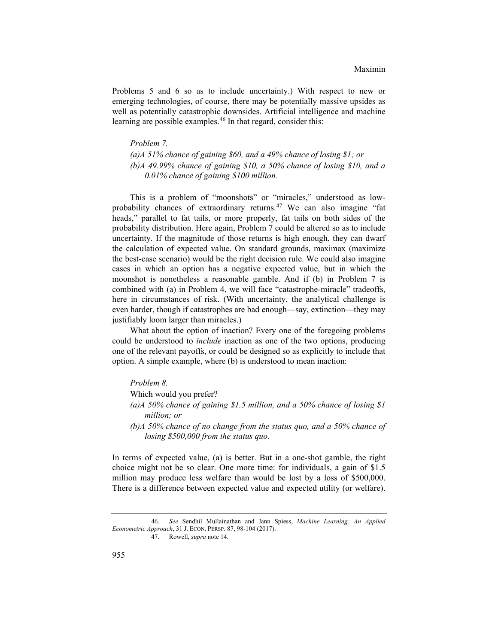Problems 5 and 6 so as to include uncertainty.) With respect to new or emerging technologies, of course, there may be potentially massive upsides as well as potentially catastrophic downsides. Artificial intelligence and machine learning are possible examples.<sup>[46](#page-15-0)</sup> In that regard, consider this:

*Problem 7.*

*(a)A 51% chance of gaining \$60, and a 49% chance of losing \$1; or (b)A 49.99% chance of gaining \$10, a 50% chance of losing \$10, and a 0.01% chance of gaining \$100 million.*

This is a problem of "moonshots" or "miracles," understood as low-probability chances of extraordinary returns.<sup>[47](#page-15-1)</sup> We can also imagine "fat heads," parallel to fat tails, or more properly, fat tails on both sides of the probability distribution. Here again, Problem 7 could be altered so as to include uncertainty. If the magnitude of those returns is high enough, they can dwarf the calculation of expected value. On standard grounds, maximax (maximize the best-case scenario) would be the right decision rule. We could also imagine cases in which an option has a negative expected value, but in which the moonshot is nonetheless a reasonable gamble. And if (b) in Problem 7 is combined with (a) in Problem 4, we will face "catastrophe-miracle" tradeoffs, here in circumstances of risk. (With uncertainty, the analytical challenge is even harder, though if catastrophes are bad enough—say, extinction—they may justifiably loom larger than miracles.)

What about the option of inaction? Every one of the foregoing problems could be understood to *include* inaction as one of the two options, producing one of the relevant payoffs, or could be designed so as explicitly to include that option. A simple example, where (b) is understood to mean inaction:

*Problem 8.*

Which would you prefer?

- *(a)A 50% chance of gaining \$1.5 million, and a 50% chance of losing \$1 million; or*
- *(b)A 50% chance of no change from the status quo, and a 50% chance of losing \$500,000 from the status quo.*

In terms of expected value, (a) is better. But in a one-shot gamble, the right choice might not be so clear. One more time: for individuals, a gain of \$1.5 million may produce less welfare than would be lost by a loss of \$500,000. There is a difference between expected value and expected utility (or welfare).

<span id="page-15-1"></span><span id="page-15-0"></span><sup>46.</sup> *See* Sendhil Mullainathan and Jann Spiess, *Machine Learning: An Applied Econometric Approach*, 31 J. ECON. PERSP. 87, 98-104 (2017). 47. Rowell, *supra* not[e 14.](#page-4-7)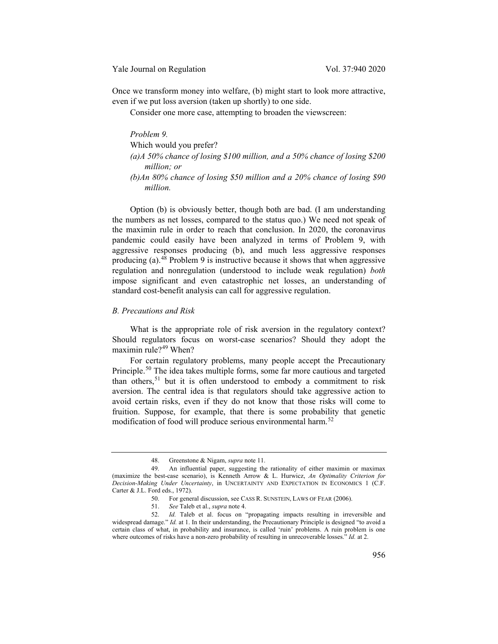Yale Journal on Regulation Vol. 37:940 2020

Once we transform money into welfare, (b) might start to look more attractive, even if we put loss aversion (taken up shortly) to one side.

Consider one more case, attempting to broaden the viewscreen:

*Problem 9.*

Which would you prefer?

- *(a)A 50% chance of losing \$100 million, and a 50% chance of losing \$200 million; or*
- *(b)An 80% chance of losing \$50 million and a 20% chance of losing \$90 million.*

Option (b) is obviously better, though both are bad. (I am understanding the numbers as net losses, compared to the status quo.) We need not speak of the maximin rule in order to reach that conclusion. In 2020, the coronavirus pandemic could easily have been analyzed in terms of Problem 9, with aggressive responses producing (b), and much less aggressive responses producing (a).<sup>[48](#page-16-0)</sup> Problem 9 is instructive because it shows that when aggressive regulation and nonregulation (understood to include weak regulation) *both*  impose significant and even catastrophic net losses, an understanding of standard cost-benefit analysis can call for aggressive regulation.

#### *B. Precautions and Risk*

What is the appropriate role of risk aversion in the regulatory context? Should regulators focus on worst-case scenarios? Should they adopt the maximin rule?<sup>[49](#page-16-1)</sup> When?

<span id="page-16-5"></span>For certain regulatory problems, many people accept the Precautionary Principle.<sup>[50](#page-16-2)</sup> The idea takes multiple forms, some far more cautious and targeted than others,<sup>[51](#page-16-3)</sup> but it is often understood to embody a commitment to risk aversion. The central idea is that regulators should take aggressive action to avoid certain risks, even if they do not know that those risks will come to fruition. Suppose, for example, that there is some probability that genetic modification of food will produce serious environmental harm.<sup>[52](#page-16-4)</sup>

<sup>48.</sup> Greenstone & Nigam, *supra* not[e 11.](#page-4-8)

<span id="page-16-1"></span><span id="page-16-0"></span><sup>49.</sup> An influential paper, suggesting the rationality of either maximin or maximax (maximize the best-case scenario), is Kenneth Arrow & L. Hurwicz, *An Optimality Criterion for Decision-Making Under Uncertainty*, in UNCERTAINTY AND EXPECTATION IN ECONOMICS 1 (C.F. Carter & J.L. Ford eds., 1972).

<sup>50.</sup> For general discussion, see CASS R. SUNSTEIN, LAWS OF FEAR (2006).<br>51. See Taleb et al., *supra* note 4.

See Taleb et al., *supra* note [4.](#page-2-5)

<span id="page-16-4"></span><span id="page-16-3"></span><span id="page-16-2"></span><sup>52.</sup> *Id.* Taleb et al. focus on "propagating impacts resulting in irreversible and widespread damage." *Id.* at 1. In their understanding, the Precautionary Principle is designed "to avoid a certain class of what, in probability and insurance, is called 'ruin' problems. A ruin problem is one where outcomes of risks have a non-zero probability of resulting in unrecoverable losses." *Id.* at 2.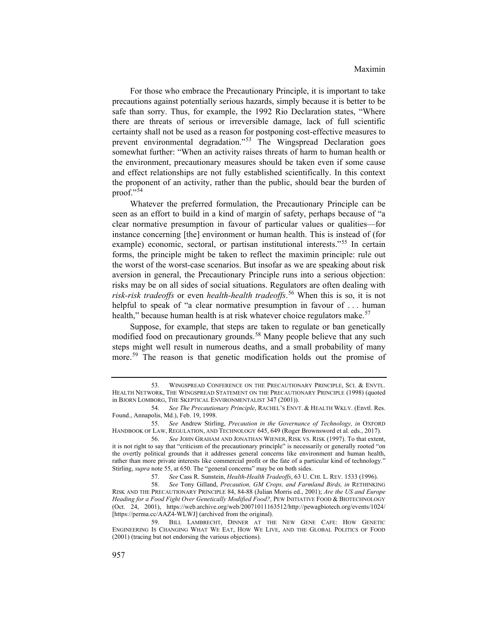For those who embrace the Precautionary Principle, it is important to take precautions against potentially serious hazards, simply because it is better to be safe than sorry. Thus, for example, the 1992 Rio Declaration states, "Where there are threats of serious or irreversible damage, lack of full scientific certainty shall not be used as a reason for postponing cost-effective measures to prevent environmental degradation."[53](#page-17-1) The Wingspread Declaration goes somewhat further: "When an activity raises threats of harm to human health or the environment, precautionary measures should be taken even if some cause and effect relationships are not fully established scientifically. In this context the proponent of an activity, rather than the public, should bear the burden of proof."[54](#page-17-2)

<span id="page-17-0"></span>Whatever the preferred formulation, the Precautionary Principle can be seen as an effort to build in a kind of margin of safety, perhaps because of "a clear normative presumption in favour of particular values or qualities—for instance concerning [the] environment or human health. This is instead of (for example) economic, sectoral, or partisan institutional interests."<sup>[55](#page-17-3)</sup> In certain forms, the principle might be taken to reflect the maximin principle: rule out the worst of the worst-case scenarios. But insofar as we are speaking about risk aversion in general, the Precautionary Principle runs into a serious objection: risks may be on all sides of social situations. Regulators are often dealing with *risk-risk tradeoffs* or even *health-health tradeoffs*. [56](#page-17-4) When this is so, it is not helpful to speak of "a clear normative presumption in favour of ... human health," because human health is at risk whatever choice regulators make. $57$ 

Suppose, for example, that steps are taken to regulate or ban genetically modified food on precautionary grounds.<sup>[58](#page-17-6)</sup> Many people believe that any such steps might well result in numerous deaths, and a small probability of many more.<sup>[59](#page-17-7)</sup> The reason is that genetic modification holds out the promise of

<span id="page-17-1"></span><sup>53.</sup> WINGSPREAD CONFERENCE ON THE PRECAUTIONARY PRINCIPLE, SCI. & ENVTL. HEALTH NETWORK, THE WINGSPREAD STATEMENT ON THE PRECAUTIONARY PRINCIPLE (1998) (quoted in BJORN LOMBORG, THE SKEPTICAL ENVIRONMENTALIST 347 (2001)).<br>54. See The Precautionary Principle, RACHEL'S ENVI

<span id="page-17-2"></span><sup>54.</sup> *See The Precautionary Principle*, RACHEL'S ENVT. & HEALTH WKLY. (Envtl. Res. Found., Annapolis, Md.), Feb. 19, 1998.

<span id="page-17-3"></span><sup>55.</sup> *See* Andrew Stirling, *Precaution in the Governance of Technology, in* OXFORD HANDBOOK OF LAW, REGULATION, AND TECHNOLOGY 645, 649 (Roger Brownsword et al. eds., 2017).

<span id="page-17-4"></span><sup>56.</sup> *See* JOHN GRAHAM AND JONATHAN WIENER, RISK VS. RISK (1997). To that extent, it is not right to say that "criticism of the precautionary principle" is necessarily or generally rooted "on the overtly political grounds that it addresses general concerns like environment and human health, rather than more private interests like commercial profit or the fate of a particular kind of technology." Stirling, *supra* note [55,](#page-17-0) at 650. The "general concerns" may be on both sides.

<sup>57.</sup> *See* Cass R. Sunstein, *Health-Health Tradeoffs*, 63 U. CHI. L. REV. 1533 (1996).

<span id="page-17-6"></span><span id="page-17-5"></span><sup>58.</sup> *See* Tony Gilland, *Precaution, GM Crops, and Farmland Birds, in* RETHINKING RISK AND THE PRECAUTIONARY PRINCIPLE 84, 84-88 (Julian Morris ed., 2001); *Are the US and Europe Heading for a Food Fight Over Genetically Modified Food?*, PEW INITIATIVE FOOD & BIOTECHNOLOGY (Oct. 24, 2001), https://web.archive.org/web/20071011163512/http://pewagbiotech.org/events/1024/ [https://perma.cc/AAZ4-WLWJ] (archived from the original).

<span id="page-17-7"></span><sup>59.</sup> BILL LAMBRECHT, DINNER AT THE NEW GENE CAFE: HOW GENETIC ENGINEERING IS CHANGING WHAT WE EAT, HOW WE LIVE, AND THE GLOBAL POLITICS OF FOOD (2001) (tracing but not endorsing the various objections).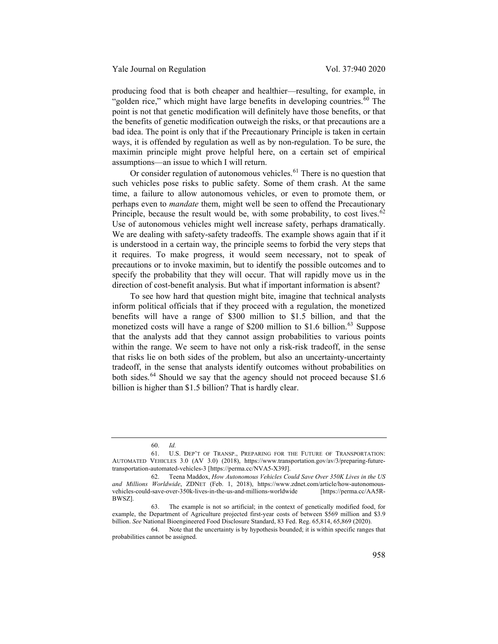producing food that is both cheaper and healthier—resulting, for example, in "golden rice," which might have large benefits in developing countries. $60$  The point is not that genetic modification will definitely have those benefits, or that the benefits of genetic modification outweigh the risks, or that precautions are a bad idea. The point is only that if the Precautionary Principle is taken in certain ways, it is offended by regulation as well as by non-regulation. To be sure, the maximin principle might prove helpful here, on a certain set of empirical assumptions—an issue to which I will return.

Or consider regulation of autonomous vehicles.<sup>[61](#page-18-1)</sup> There is no question that such vehicles pose risks to public safety. Some of them crash. At the same time, a failure to allow autonomous vehicles, or even to promote them, or perhaps even to *mandate* them, might well be seen to offend the Precautionary Principle, because the result would be, with some probability, to cost lives. $62$ Use of autonomous vehicles might well increase safety, perhaps dramatically. We are dealing with safety-safety tradeoffs. The example shows again that if it is understood in a certain way, the principle seems to forbid the very steps that it requires. To make progress, it would seem necessary, not to speak of precautions or to invoke maximin, but to identify the possible outcomes and to specify the probability that they will occur. That will rapidly move us in the direction of cost-benefit analysis. But what if important information is absent?

To see how hard that question might bite, imagine that technical analysts inform political officials that if they proceed with a regulation, the monetized benefits will have a range of \$300 million to \$1.5 billion, and that the monetized costs will have a range of  $$200$  million to  $$1.6$  billion.<sup>[63](#page-18-3)</sup> Suppose that the analysts add that they cannot assign probabilities to various points within the range. We seem to have not only a risk-risk tradeoff, in the sense that risks lie on both sides of the problem, but also an uncertainty-uncertainty tradeoff, in the sense that analysts identify outcomes without probabilities on both sides.<sup>[64](#page-18-4)</sup> Should we say that the agency should not proceed because \$1.6 billion is higher than \$1.5 billion? That is hardly clear.

<sup>60.</sup> *Id.*

<span id="page-18-1"></span><span id="page-18-0"></span><sup>61.</sup> U.S. DEP'T OF TRANSP., PREPARING FOR THE FUTURE OF TRANSPORTATION: AUTOMATED VEHICLES 3.0 (AV 3.0) (2018), https://www.transportation.gov/av/3/preparing-futuretransportation-automated-vehicles-3 [https://perma.cc/NVA5-X39J].

<span id="page-18-2"></span><sup>62.</sup> Teena Maddox, *How Autonomous Vehicles Could Save Over 350K Lives in the US*  and Millions Worldwide, ZDNET (Feb. 1, 2018), https://www.zdnet.com/article/how-autonomous-<br>vehicles-could-save-over-350k-lives-in-the-us-and-millions-worldwide [https://perma.cc/AA5Rvehicles-could-save-over-350k-lives-in-the-us-and-millions-worldwide BWSZ].

<span id="page-18-3"></span>The example is not so artificial; in the context of genetically modified food, for example, the Department of Agriculture projected first-year costs of between \$569 million and \$3.9 billion. *See* National Bioengineered Food Disclosure Standard, 83 Fed. Reg. 65,814, 65,869 (2020).

<span id="page-18-4"></span><sup>64.</sup> Note that the uncertainty is by hypothesis bounded; it is within specific ranges that probabilities cannot be assigned.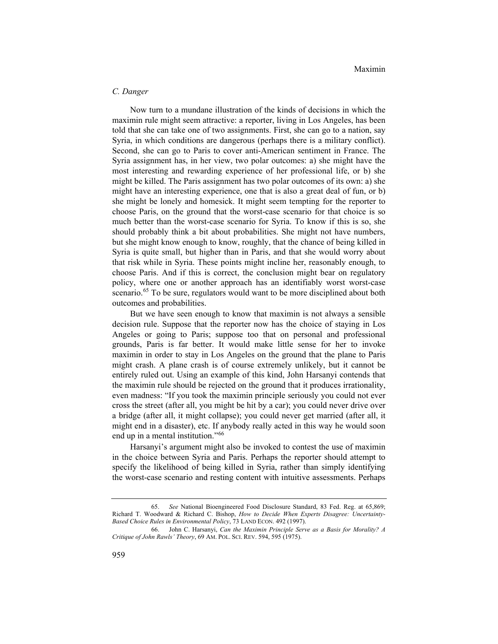## *C. Danger*

Now turn to a mundane illustration of the kinds of decisions in which the maximin rule might seem attractive: a reporter, living in Los Angeles, has been told that she can take one of two assignments. First, she can go to a nation, say Syria, in which conditions are dangerous (perhaps there is a military conflict). Second, she can go to Paris to cover anti-American sentiment in France. The Syria assignment has, in her view, two polar outcomes: a) she might have the most interesting and rewarding experience of her professional life, or b) she might be killed. The Paris assignment has two polar outcomes of its own: a) she might have an interesting experience, one that is also a great deal of fun, or b) she might be lonely and homesick. It might seem tempting for the reporter to choose Paris, on the ground that the worst-case scenario for that choice is so much better than the worst-case scenario for Syria. To know if this is so, she should probably think a bit about probabilities. She might not have numbers, but she might know enough to know, roughly, that the chance of being killed in Syria is quite small, but higher than in Paris, and that she would worry about that risk while in Syria. These points might incline her, reasonably enough, to choose Paris. And if this is correct, the conclusion might bear on regulatory policy, where one or another approach has an identifiably worst worst-case scenario.<sup>[65](#page-19-0)</sup> To be sure, regulators would want to be more disciplined about both outcomes and probabilities.

But we have seen enough to know that maximin is not always a sensible decision rule. Suppose that the reporter now has the choice of staying in Los Angeles or going to Paris; suppose too that on personal and professional grounds, Paris is far better. It would make little sense for her to invoke maximin in order to stay in Los Angeles on the ground that the plane to Paris might crash. A plane crash is of course extremely unlikely, but it cannot be entirely ruled out. Using an example of this kind, John Harsanyi contends that the maximin rule should be rejected on the ground that it produces irrationality, even madness: "If you took the maximin principle seriously you could not ever cross the street (after all, you might be hit by a car); you could never drive over a bridge (after all, it might collapse); you could never get married (after all, it might end in a disaster), etc. If anybody really acted in this way he would soon end up in a mental institution."<sup>[66](#page-19-1)</sup>

<span id="page-19-2"></span>Harsanyi's argument might also be invoked to contest the use of maximin in the choice between Syria and Paris. Perhaps the reporter should attempt to specify the likelihood of being killed in Syria, rather than simply identifying the worst-case scenario and resting content with intuitive assessments. Perhaps

<span id="page-19-0"></span><sup>65.</sup> *See* National Bioengineered Food Disclosure Standard, 83 Fed. Reg. at 65,869; Richard T. Woodward & Richard C. Bishop, *How to Decide When Experts Disagree: Uncertainty-Based Choice Rules in Environmental Policy*, 73 LAND ECON. 492 (1997).

<span id="page-19-1"></span><sup>66.</sup> John C. Harsanyi, *Can the Maximin Principle Serve as a Basis for Morality? A Critique of John Rawls' Theory*, 69 AM. POL. SCI. REV. 594, 595 (1975).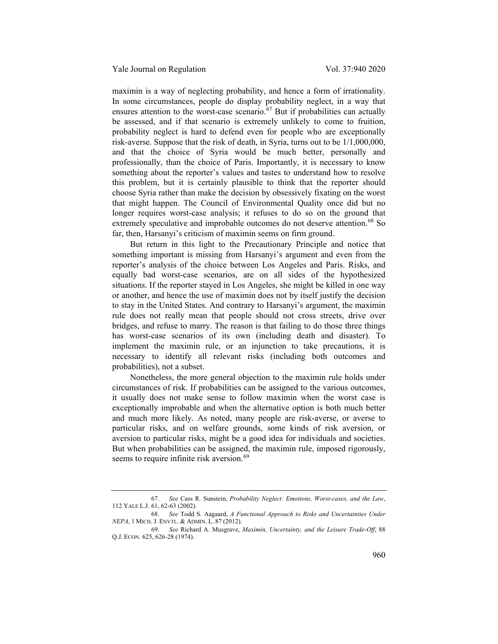maximin is a way of neglecting probability, and hence a form of irrationality. In some circumstances, people do display probability neglect, in a way that ensures attention to the worst-case scenario.<sup>[67](#page-20-0)</sup> But if probabilities can actually be assessed, and if that scenario is extremely unlikely to come to fruition, probability neglect is hard to defend even for people who are exceptionally risk-averse. Suppose that the risk of death, in Syria, turns out to be 1/1,000,000, and that the choice of Syria would be much better, personally and professionally, than the choice of Paris. Importantly, it is necessary to know something about the reporter's values and tastes to understand how to resolve this problem, but it is certainly plausible to think that the reporter should choose Syria rather than make the decision by obsessively fixating on the worst that might happen. The Council of Environmental Quality once did but no longer requires worst-case analysis; it refuses to do so on the ground that extremely speculative and improbable outcomes do not deserve attention.<sup>[68](#page-20-1)</sup> So far, then, Harsanyi's criticism of maximin seems on firm ground.

But return in this light to the Precautionary Principle and notice that something important is missing from Harsanyi's argument and even from the reporter's analysis of the choice between Los Angeles and Paris. Risks, and equally bad worst-case scenarios, are on all sides of the hypothesized situations. If the reporter stayed in Los Angeles, she might be killed in one way or another, and hence the use of maximin does not by itself justify the decision to stay in the United States. And contrary to Harsanyi's argument, the maximin rule does not really mean that people should not cross streets, drive over bridges, and refuse to marry. The reason is that failing to do those three things has worst-case scenarios of its own (including death and disaster). To implement the maximin rule, or an injunction to take precautions, it is necessary to identify all relevant risks (including both outcomes and probabilities), not a subset.

Nonetheless, the more general objection to the maximin rule holds under circumstances of risk. If probabilities can be assigned to the various outcomes, it usually does not make sense to follow maximin when the worst case is exceptionally improbable and when the alternative option is both much better and much more likely. As noted, many people are risk-averse, or averse to particular risks, and on welfare grounds, some kinds of risk aversion, or aversion to particular risks, might be a good idea for individuals and societies. But when probabilities can be assigned, the maximin rule, imposed rigorously, seems to require infinite risk aversion.<sup>[69](#page-20-2)</sup>

<span id="page-20-3"></span><span id="page-20-0"></span><sup>67.</sup> *See* Cass R. Sunstein, *Probability Neglect: Emotions, Worst-cases, and the Law*, 112 YALE L.J. 61, 62-63 (2002).

<span id="page-20-1"></span><sup>68.</sup> *See* Todd S. Aagaard, *A Functional Approach to Risks and Uncertainties Under NEPA*, 1 MICH. J. ENVTL. & ADMIN. L. 87 (2012).

<span id="page-20-2"></span><sup>69.</sup> *See* Richard A. Musgrave, *Maximin, Uncertainty, and the Leisure Trade-Off*, 88 Q.J. ECON. 625, 626-28 (1974).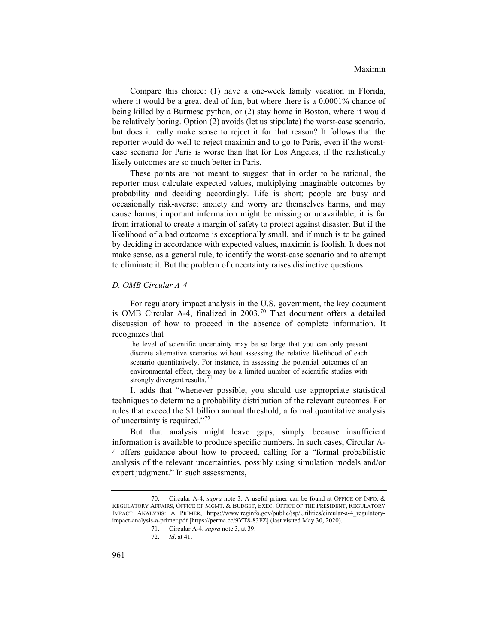Compare this choice: (1) have a one-week family vacation in Florida, where it would be a great deal of fun, but where there is a 0.0001% chance of being killed by a Burmese python, or (2) stay home in Boston, where it would be relatively boring. Option (2) avoids (let us stipulate) the worst-case scenario, but does it really make sense to reject it for that reason? It follows that the reporter would do well to reject maximin and to go to Paris, even if the worstcase scenario for Paris is worse than that for Los Angeles, if the realistically likely outcomes are so much better in Paris.

These points are not meant to suggest that in order to be rational, the reporter must calculate expected values, multiplying imaginable outcomes by probability and deciding accordingly. Life is short; people are busy and occasionally risk-averse; anxiety and worry are themselves harms, and may cause harms; important information might be missing or unavailable; it is far from irrational to create a margin of safety to protect against disaster. But if the likelihood of a bad outcome is exceptionally small, and if much is to be gained by deciding in accordance with expected values, maximin is foolish. It does not make sense, as a general rule, to identify the worst-case scenario and to attempt to eliminate it. But the problem of uncertainty raises distinctive questions.

#### *D. OMB Circular A-4*

For regulatory impact analysis in the U.S. government, the key document is OMB Circular A-4, finalized in 2003.[70](#page-21-0) That document offers a detailed discussion of how to proceed in the absence of complete information. It recognizes that

the level of scientific uncertainty may be so large that you can only present discrete alternative scenarios without assessing the relative likelihood of each scenario quantitatively. For instance, in assessing the potential outcomes of an environmental effect, there may be a limited number of scientific studies with strongly divergent results.<sup>[71](#page-21-1)</sup>

It adds that "whenever possible, you should use appropriate statistical techniques to determine a probability distribution of the relevant outcomes. For rules that exceed the \$1 billion annual threshold, a formal quantitative analysis of uncertainty is required."[72](#page-21-2)

But that analysis might leave gaps, simply because insufficient information is available to produce specific numbers. In such cases, Circular A-4 offers guidance about how to proceed, calling for a "formal probabilistic analysis of the relevant uncertainties, possibly using simulation models and/or expert judgment." In such assessments,

<span id="page-21-2"></span><span id="page-21-1"></span><span id="page-21-0"></span><sup>70.</sup> Circular A-4, *supra* note [3.](#page-2-4) A useful primer can be found at OFFICE OF INFO. & REGULATORY AFFAIRS, OFFICE OF MGMT. & BUDGET, EXEC. OFFICE OF THE PRESIDENT, REGULATORY IMPACT ANALYSIS: A PRIMER, https://www.reginfo.gov/public/jsp/Utilities/circular-a-4\_regulatoryimpact-analysis-a-primer.pdf [https://perma.cc/9YT8-83FZ] (last visited May 30, 2020).

<sup>71.</sup> Circular A-4, *supra* not[e 3,](#page-2-4) at 39.

<sup>72.</sup> *Id*. at 41.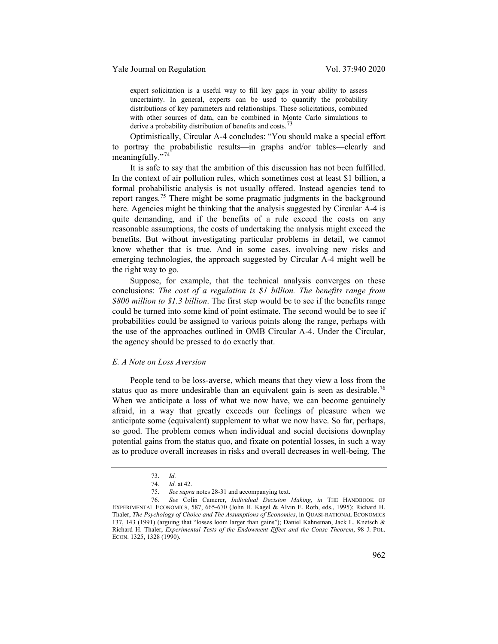expert solicitation is a useful way to fill key gaps in your ability to assess uncertainty. In general, experts can be used to quantify the probability distributions of key parameters and relationships. These solicitations, combined with other sources of data, can be combined in Monte Carlo simulations to derive a probability distribution of benefits and costs.<sup>[73](#page-22-0)</sup>

Optimistically, Circular A-4 concludes: "You should make a special effort to portray the probabilistic results—in graphs and/or tables—clearly and meaningfully."<sup>[74](#page-22-1)</sup>

It is safe to say that the ambition of this discussion has not been fulfilled. In the context of air pollution rules, which sometimes cost at least \$1 billion, a formal probabilistic analysis is not usually offered. Instead agencies tend to report ranges.[75](#page-22-2) There might be some pragmatic judgments in the background here. Agencies might be thinking that the analysis suggested by Circular A-4 is quite demanding, and if the benefits of a rule exceed the costs on any reasonable assumptions, the costs of undertaking the analysis might exceed the benefits. But without investigating particular problems in detail, we cannot know whether that is true. And in some cases, involving new risks and emerging technologies, the approach suggested by Circular A-4 might well be the right way to go.

Suppose, for example, that the technical analysis converges on these conclusions: *The cost of a regulation is \$1 billion. The benefits range from \$800 million to \$1.3 billion*. The first step would be to see if the benefits range could be turned into some kind of point estimate. The second would be to see if probabilities could be assigned to various points along the range, perhaps with the use of the approaches outlined in OMB Circular A-4. Under the Circular, the agency should be pressed to do exactly that.

## *E. A Note on Loss Aversion*

People tend to be loss-averse, which means that they view a loss from the status quo as more undesirable than an equivalent gain is seen as desirable.<sup>[76](#page-22-3)</sup> When we anticipate a loss of what we now have, we can become genuinely afraid, in a way that greatly exceeds our feelings of pleasure when we anticipate some (equivalent) supplement to what we now have. So far, perhaps, so good. The problem comes when individual and social decisions downplay potential gains from the status quo, and fixate on potential losses, in such a way as to produce overall increases in risks and overall decreases in well-being. The

<sup>73.</sup> *Id.*

<sup>74.</sup> *Id.* at 42.

<sup>75.</sup> *See supra* note[s 28](#page-8-6)[-31](#page-8-8) and accompanying text.

<span id="page-22-3"></span><span id="page-22-2"></span><span id="page-22-1"></span><span id="page-22-0"></span><sup>76.</sup> *See* Colin Camerer, *Individual Decision Making*, *in* THE HANDBOOK OF EXPERIMENTAL ECONOMICS, 587, 665-670 (John H. Kagel & Alvin E. Roth, eds., 1995); Richard H. Thaler, *The Psychology of Choice and The Assumptions of Economics*, in QUASI-RATIONAL ECONOMICS 137, 143 (1991) (arguing that "losses loom larger than gains"); Daniel Kahneman, Jack L. Knetsch & Richard H. Thaler, *Experimental Tests of the Endowment Effect and the Coase Theorem*, 98 J. POL. ECON. 1325, 1328 (1990).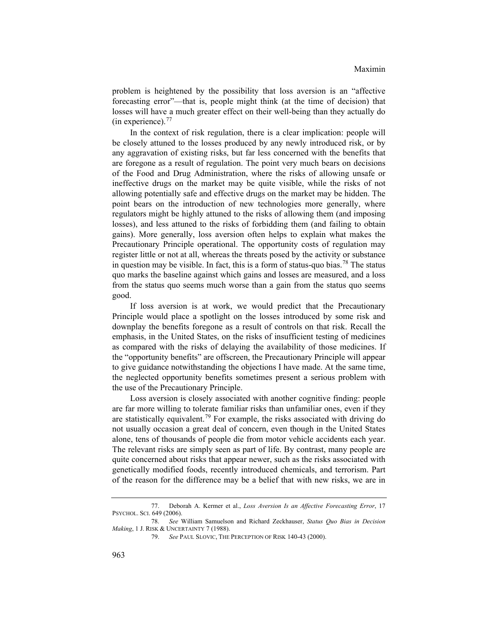problem is heightened by the possibility that loss aversion is an "affective forecasting error"—that is, people might think (at the time of decision) that losses will have a much greater effect on their well-being than they actually do (in experience).  $77$ 

In the context of risk regulation, there is a clear implication: people will be closely attuned to the losses produced by any newly introduced risk, or by any aggravation of existing risks, but far less concerned with the benefits that are foregone as a result of regulation. The point very much bears on decisions of the Food and Drug Administration, where the risks of allowing unsafe or ineffective drugs on the market may be quite visible, while the risks of not allowing potentially safe and effective drugs on the market may be hidden. The point bears on the introduction of new technologies more generally, where regulators might be highly attuned to the risks of allowing them (and imposing losses), and less attuned to the risks of forbidding them (and failing to obtain gains). More generally, loss aversion often helps to explain what makes the Precautionary Principle operational. The opportunity costs of regulation may register little or not at all, whereas the threats posed by the activity or substance in question may be visible. In fact, this is a form of status-quo bias.<sup>[78](#page-23-1)</sup> The status quo marks the baseline against which gains and losses are measured, and a loss from the status quo seems much worse than a gain from the status quo seems good.

If loss aversion is at work, we would predict that the Precautionary Principle would place a spotlight on the losses introduced by some risk and downplay the benefits foregone as a result of controls on that risk. Recall the emphasis, in the United States, on the risks of insufficient testing of medicines as compared with the risks of delaying the availability of those medicines. If the "opportunity benefits" are offscreen, the Precautionary Principle will appear to give guidance notwithstanding the objections I have made. At the same time, the neglected opportunity benefits sometimes present a serious problem with the use of the Precautionary Principle.

Loss aversion is closely associated with another cognitive finding: people are far more willing to tolerate familiar risks than unfamiliar ones, even if they are statistically equivalent.<sup>[79](#page-23-2)</sup> For example, the risks associated with driving do not usually occasion a great deal of concern, even though in the United States alone, tens of thousands of people die from motor vehicle accidents each year. The relevant risks are simply seen as part of life. By contrast, many people are quite concerned about risks that appear newer, such as the risks associated with genetically modified foods, recently introduced chemicals, and terrorism. Part of the reason for the difference may be a belief that with new risks, we are in

<span id="page-23-0"></span><sup>77.</sup> Deborah A. Kermer et al., *Loss Aversion Is an Affective Forecasting Error*, 17 PSYCHOL. SCI. 649 (2006).

<span id="page-23-2"></span><span id="page-23-1"></span><sup>78.</sup> *See* William Samuelson and Richard Zeckhauser, *Status Quo Bias in Decision Making*, 1 J. RISK & UNCERTAINTY 7 (1988).

<sup>79.</sup> *See* PAUL SLOVIC, THE PERCEPTION OF RISK 140-43 (2000).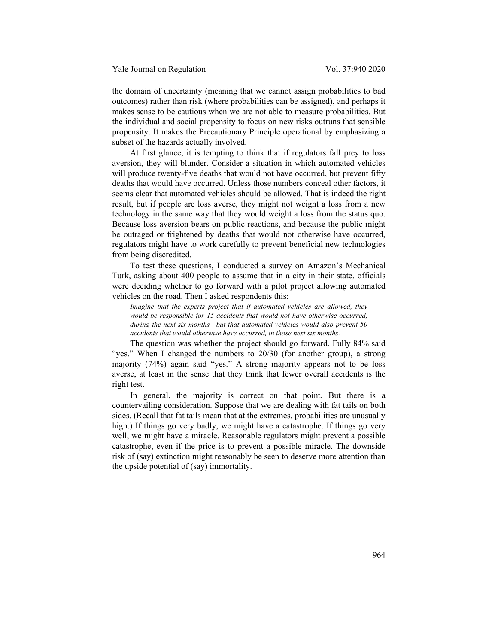the domain of uncertainty (meaning that we cannot assign probabilities to bad outcomes) rather than risk (where probabilities can be assigned), and perhaps it makes sense to be cautious when we are not able to measure probabilities. But the individual and social propensity to focus on new risks outruns that sensible propensity. It makes the Precautionary Principle operational by emphasizing a subset of the hazards actually involved.

At first glance, it is tempting to think that if regulators fall prey to loss aversion, they will blunder. Consider a situation in which automated vehicles will produce twenty-five deaths that would not have occurred, but prevent fifty deaths that would have occurred. Unless those numbers conceal other factors, it seems clear that automated vehicles should be allowed. That is indeed the right result, but if people are loss averse, they might not weight a loss from a new technology in the same way that they would weight a loss from the status quo. Because loss aversion bears on public reactions, and because the public might be outraged or frightened by deaths that would not otherwise have occurred, regulators might have to work carefully to prevent beneficial new technologies from being discredited.

To test these questions, I conducted a survey on Amazon's Mechanical Turk, asking about 400 people to assume that in a city in their state, officials were deciding whether to go forward with a pilot project allowing automated vehicles on the road. Then I asked respondents this:

*Imagine that the experts project that if automated vehicles are allowed, they would be responsible for 15 accidents that would not have otherwise occurred, during the next six months—but that automated vehicles would also prevent 50 accidents that would otherwise have occurred, in those next six months.*

The question was whether the project should go forward. Fully 84% said "yes." When I changed the numbers to 20/30 (for another group), a strong majority (74%) again said "yes." A strong majority appears not to be loss averse, at least in the sense that they think that fewer overall accidents is the right test.

In general, the majority is correct on that point. But there is a countervailing consideration. Suppose that we are dealing with fat tails on both sides. (Recall that fat tails mean that at the extremes, probabilities are unusually high.) If things go very badly, we might have a catastrophe. If things go very well, we might have a miracle. Reasonable regulators might prevent a possible catastrophe, even if the price is to prevent a possible miracle. The downside risk of (say) extinction might reasonably be seen to deserve more attention than the upside potential of (say) immortality.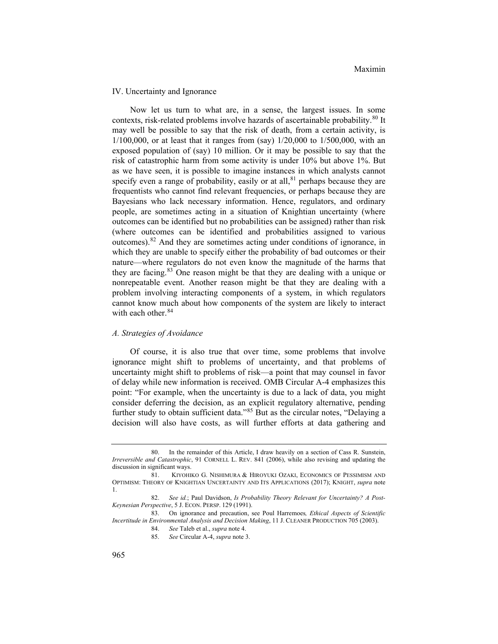### IV. Uncertainty and Ignorance

Now let us turn to what are, in a sense, the largest issues. In some contexts, risk-related problems involve hazards of ascertainable probability.<sup>[80](#page-25-0)</sup> It may well be possible to say that the risk of death, from a certain activity, is 1/100,000, or at least that it ranges from (say) 1/20,000 to 1/500,000, with an exposed population of (say) 10 million. Or it may be possible to say that the risk of catastrophic harm from some activity is under 10% but above 1%. But as we have seen, it is possible to imagine instances in which analysts cannot specify even a range of probability, easily or at all,  $81$  perhaps because they are frequentists who cannot find relevant frequencies, or perhaps because they are Bayesians who lack necessary information. Hence, regulators, and ordinary people, are sometimes acting in a situation of Knightian uncertainty (where outcomes can be identified but no probabilities can be assigned) rather than risk (where outcomes can be identified and probabilities assigned to various outcomes).[82](#page-25-2) And they are sometimes acting under conditions of ignorance, in which they are unable to specify either the probability of bad outcomes or their nature—where regulators do not even know the magnitude of the harms that they are facing.<sup>[83](#page-25-3)</sup> One reason might be that they are dealing with a unique or nonrepeatable event. Another reason might be that they are dealing with a problem involving interacting components of a system, in which regulators cannot know much about how components of the system are likely to interact with each other.<sup>[84](#page-25-4)</sup>

## *A. Strategies of Avoidance*

Of course, it is also true that over time, some problems that involve ignorance might shift to problems of uncertainty, and that problems of uncertainty might shift to problems of risk—a point that may counsel in favor of delay while new information is received. OMB Circular A-4 emphasizes this point: "For example, when the uncertainty is due to a lack of data, you might consider deferring the decision, as an explicit regulatory alternative, pending further study to obtain sufficient data."<sup>[85](#page-25-5)</sup> But as the circular notes, "Delaying a decision will also have costs, as will further efforts at data gathering and

<span id="page-25-0"></span><sup>80.</sup> In the remainder of this Article, I draw heavily on a section of Cass R. Sunstein, *Irreversible and Catastrophic*, 91 CORNELL L. REV. 841 (2006), while also revising and updating the discussion in significant ways.

<span id="page-25-1"></span><sup>81.</sup> KIYOHIKO G. NISHIMURA & HIROYUKI OZAKI, ECONOMICS OF PESSIMISM AND OPTIMISM: THEORY OF KNIGHTIAN UNCERTAINTY AND ITS APPLICATIONS (2017); KNIGHT, *supra* note [1.](#page-2-6)

<span id="page-25-2"></span><sup>82.</sup> *See id.*; Paul Davidson, *Is Probability Theory Relevant for Uncertainty? A Post-Keynesian Perspective*, 5 J. ECON. PERSP. 129 (1991).

<span id="page-25-5"></span><span id="page-25-4"></span><span id="page-25-3"></span><sup>83.</sup> On ignorance and precaution, see Poul Harremoes*, Ethical Aspects of Scientific Incertitude in Environmental Analysis and Decision Making*, 11 J. CLEANER PRODUCTION 705 (2003).

<sup>84.</sup> *See* Taleb et al., *supra* note [4.](#page-2-5)

<sup>85.</sup> *See* Circular A-4, *supra* note [3.](#page-2-4)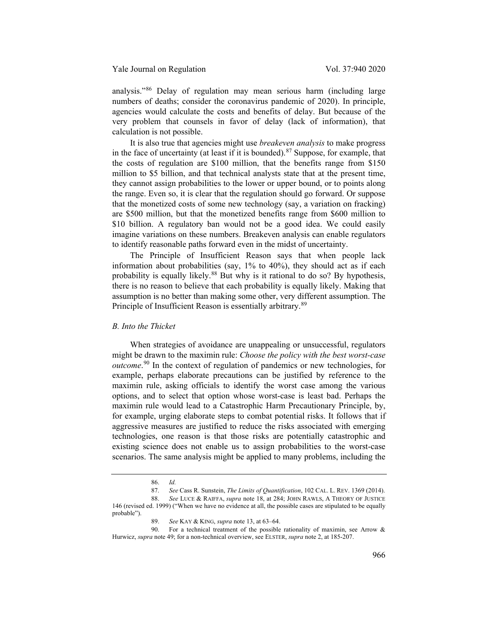analysis."[86](#page-26-0) Delay of regulation may mean serious harm (including large numbers of deaths; consider the coronavirus pandemic of 2020). In principle, agencies would calculate the costs and benefits of delay. But because of the very problem that counsels in favor of delay (lack of information), that calculation is not possible.

It is also true that agencies might use *breakeven analysis* to make progress in the face of uncertainty (at least if it is bounded).<sup>[87](#page-26-1)</sup> Suppose, for example, that the costs of regulation are \$100 million, that the benefits range from \$150 million to \$5 billion, and that technical analysts state that at the present time, they cannot assign probabilities to the lower or upper bound, or to points along the range. Even so, it is clear that the regulation should go forward. Or suppose that the monetized costs of some new technology (say, a variation on fracking) are \$500 million, but that the monetized benefits range from \$600 million to \$10 billion. A regulatory ban would not be a good idea. We could easily imagine variations on these numbers. Breakeven analysis can enable regulators to identify reasonable paths forward even in the midst of uncertainty.

<span id="page-26-5"></span>The Principle of Insufficient Reason says that when people lack information about probabilities (say, 1% to 40%), they should act as if each probability is equally likely.<sup>[88](#page-26-2)</sup> But why is it rational to do so? By hypothesis, there is no reason to believe that each probability is equally likely. Making that assumption is no better than making some other, very different assumption. The Principle of Insufficient Reason is essentially arbitrary.<sup>[89](#page-26-3)</sup>

## *B. Into the Thicket*

When strategies of avoidance are unappealing or unsuccessful, regulators might be drawn to the maximin rule: *Choose the policy with the best worst-case outcome*. [90](#page-26-4) In the context of regulation of pandemics or new technologies, for example, perhaps elaborate precautions can be justified by reference to the maximin rule, asking officials to identify the worst case among the various options, and to select that option whose worst-case is least bad. Perhaps the maximin rule would lead to a Catastrophic Harm Precautionary Principle, by, for example, urging elaborate steps to combat potential risks. It follows that if aggressive measures are justified to reduce the risks associated with emerging technologies, one reason is that those risks are potentially catastrophic and existing science does not enable us to assign probabilities to the worst-case scenarios. The same analysis might be applied to many problems, including the

<sup>86.</sup> *Id.*

<sup>87.</sup> *See* Cass R. Sunstein, *The Limits of Quantification*, 102 CAL. L. REV. 1369 (2014).

<span id="page-26-2"></span><span id="page-26-1"></span><span id="page-26-0"></span><sup>88.</sup> *See* LUCE & RAIFFA, *supra* note [18,](#page-6-4) at 284; JOHN RAWLS, A THEORY OF JUSTICE 146 (revised ed. 1999) ("When we have no evidence at all, the possible cases are stipulated to be equally probable").

<sup>89.</sup> *See* KAY & KING, *supra* not[e 13,](#page-4-6) at 63–64.

<span id="page-26-4"></span><span id="page-26-3"></span><sup>90.</sup> For a technical treatment of the possible rationality of maximin, see Arrow & Hurwicz, *supra* not[e 49;](#page-16-5) for a non-technical overview, see ELSTER, *supra* note [2,](#page-2-7) at 185-207.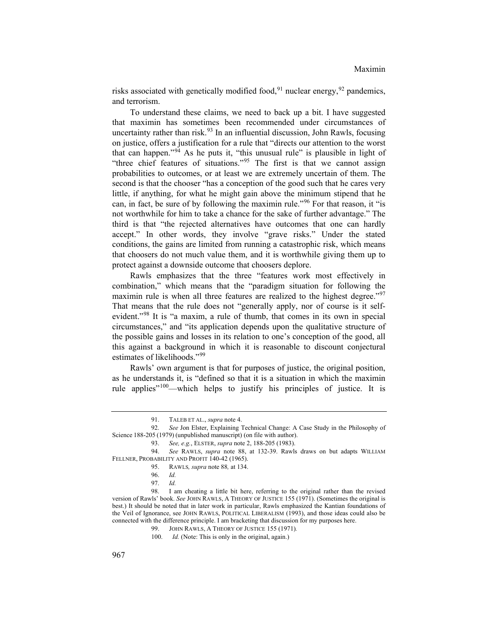risks associated with genetically modified food,  $91$  nuclear energy,  $92$  pandemics, and terrorism.

To understand these claims, we need to back up a bit. I have suggested that maximin has sometimes been recommended under circumstances of uncertainty rather than risk.<sup>[93](#page-27-2)</sup> In an influential discussion, John Rawls, focusing on justice, offers a justification for a rule that "directs our attention to the worst that can happen."[94](#page-27-3) As he puts it, "this unusual rule" is plausible in light of "three chief features of situations."[95](#page-27-4) The first is that we cannot assign probabilities to outcomes, or at least we are extremely uncertain of them. The second is that the chooser "has a conception of the good such that he cares very little, if anything, for what he might gain above the minimum stipend that he can, in fact, be sure of by following the maximin rule."[96](#page-27-5) For that reason, it "is not worthwhile for him to take a chance for the sake of further advantage." The third is that "the rejected alternatives have outcomes that one can hardly accept." In other words, they involve "grave risks." Under the stated conditions, the gains are limited from running a catastrophic risk, which means that choosers do not much value them, and it is worthwhile giving them up to protect against a downside outcome that choosers deplore.

Rawls emphasizes that the three "features work most effectively in combination," which means that the "paradigm situation for following the maximin rule is when all three features are realized to the highest degree."<sup>[97](#page-27-6)</sup> That means that the rule does not "generally apply, nor of course is it selfevident."[98](#page-27-7) It is "a maxim, a rule of thumb, that comes in its own in special circumstances," and "its application depends upon the qualitative structure of the possible gains and losses in its relation to one's conception of the good, all this against a background in which it is reasonable to discount conjectural estimates of likelihoods."[99](#page-27-8)

Rawls' own argument is that for purposes of justice, the original position, as he understands it, is "defined so that it is a situation in which the maximin rule applies"[100](#page-27-9)—which helps to justify his principles of justice. It is

<sup>91.</sup> TALEB ET AL., *supra* not[e 4.](#page-2-5)

<span id="page-27-1"></span><span id="page-27-0"></span><sup>92.</sup> *See* Jon Elster, Explaining Technical Change: A Case Study in the Philosophy of Science 188-205 (1979) (unpublished manuscript) (on file with author).

<sup>93.</sup> *See, e.g.*, ELSTER, *supra* not[e 2,](#page-2-7) 188-205 (1983).

<span id="page-27-4"></span><span id="page-27-3"></span><span id="page-27-2"></span><sup>94.</sup> *See* RAWLS, *supra* note [88,](#page-26-5) at 132-39. Rawls draws on but adapts WILLIAM FELLNER, PROBABILITY AND PROFIT 140-42 (1965).

<sup>95.</sup> RAWLS*, supra* note [88](#page-26-5)*,* at 134.

<sup>96.</sup> *Id.*

<sup>97.</sup> *Id.*

<span id="page-27-9"></span><span id="page-27-8"></span><span id="page-27-7"></span><span id="page-27-6"></span><span id="page-27-5"></span><sup>98.</sup> I am cheating a little bit here, referring to the original rather than the revised version of Rawls' book. *See* JOHN RAWLS, A THEORY OF JUSTICE 155 (1971). (Sometimes the original is best.) It should be noted that in later work in particular, Rawls emphasized the Kantian foundations of the Veil of Ignorance, see JOHN RAWLS, POLITICAL LIBERALISM (1993), and those ideas could also be connected with the difference principle. I am bracketing that discussion for my purposes here.

<sup>99.</sup> JOHN RAWLS, A THEORY OF JUSTICE 155 (1971)*.*

<sup>100.</sup> *Id.* (Note: This is only in the original, again.)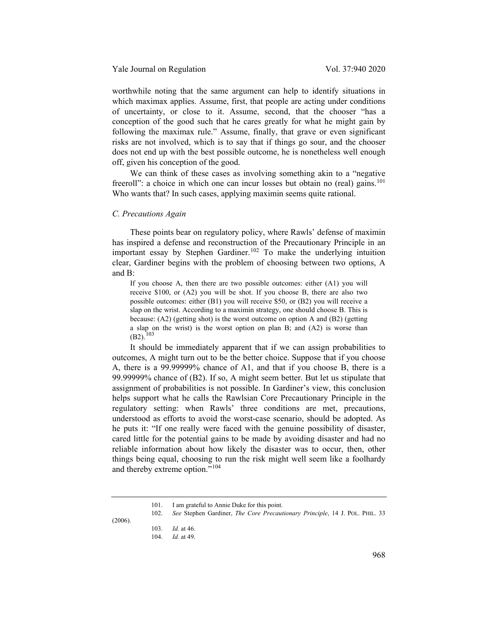worthwhile noting that the same argument can help to identify situations in which maximax applies. Assume, first, that people are acting under conditions of uncertainty, or close to it. Assume, second, that the chooser "has a conception of the good such that he cares greatly for what he might gain by following the maximax rule." Assume, finally, that grave or even significant risks are not involved, which is to say that if things go sour, and the chooser does not end up with the best possible outcome, he is nonetheless well enough off, given his conception of the good.

We can think of these cases as involving something akin to a "negative freeroll": a choice in which one can incur losses but obtain no (real) gains.<sup>[101](#page-28-0)</sup> Who wants that? In such cases, applying maximin seems quite rational.

## *C. Precautions Again*

These points bear on regulatory policy, where Rawls' defense of maximin has inspired a defense and reconstruction of the Precautionary Principle in an important essay by Stephen Gardiner.<sup>[102](#page-28-1)</sup> To make the underlying intuition clear, Gardiner begins with the problem of choosing between two options, A and B:

If you choose A, then there are two possible outcomes: either (A1) you will receive \$100, or (A2) you will be shot. If you choose B, there are also two possible outcomes: either (B1) you will receive \$50, or (B2) you will receive a slap on the wrist. According to a maximin strategy, one should choose B. This is because: (A2) (getting shot) is the worst outcome on option A and (B2) (getting a slap on the wrist) is the worst option on plan B; and (A2) is worse than  $(B2).^{103}$  $(B2).^{103}$  $(B2).^{103}$ 

It should be immediately apparent that if we can assign probabilities to outcomes, A might turn out to be the better choice. Suppose that if you choose A, there is a 99.99999% chance of A1, and that if you choose B, there is a 99.99999% chance of (B2). If so, A might seem better. But let us stipulate that assignment of probabilities is not possible. In Gardiner's view, this conclusion helps support what he calls the Rawlsian Core Precautionary Principle in the regulatory setting: when Rawls' three conditions are met, precautions, understood as efforts to avoid the worst-case scenario, should be adopted. As he puts it: "If one really were faced with the genuine possibility of disaster, cared little for the potential gains to be made by avoiding disaster and had no reliable information about how likely the disaster was to occur, then, other things being equal, choosing to run the risk might well seem like a foolhardy and thereby extreme option."<sup>[104](#page-28-3)</sup>

<span id="page-28-3"></span><span id="page-28-2"></span><span id="page-28-1"></span><span id="page-28-0"></span><sup>(2006).</sup>

<sup>101.</sup> I am grateful to Annie Duke for this point.

<sup>102.</sup> *See* Stephen Gardiner, *The Core Precautionary Principle*, 14 J. POL. PHIL. 33 103. *Id.* at 46.

<sup>104.</sup> *Id.* at 49.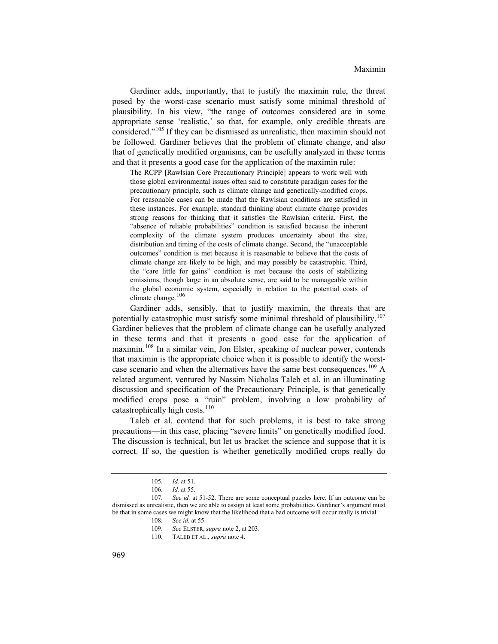Gardiner adds, importantly, that to justify the maximin rule, the threat posed by the worst-case scenario must satisfy some minimal threshold of plausibility. In his view, "the range of outcomes considered are in some appropriate sense 'realistic,' so that, for example, only credible threats are considered."[105](#page-29-0) If they can be dismissed as unrealistic, then maximin should not be followed. Gardiner believes that the problem of climate change, and also that of genetically modified organisms, can be usefully analyzed in these terms and that it presents a good case for the application of the maximin rule:

The RCPP [Rawlsian Core Precautionary Principle] appears to work well with those global environmental issues often said to constitute paradigm cases for the precautionary principle, such as climate change and genetically-modified crops. For reasonable cases can be made that the Rawlsian conditions are satisfied in these instances. For example, standard thinking about climate change provides strong reasons for thinking that it satisfies the Rawlsian criteria. First, the "absence of reliable probabilities" condition is satisfied because the inherent complexity of the climate system produces uncertainty about the size, distribution and timing of the costs of climate change. Second, the "unacceptable outcomes" condition is met because it is reasonable to believe that the costs of climate change are likely to be high, and may possibly be catastrophic. Third, the "care little for gains" condition is met because the costs of stabilizing emissions, though large in an absolute sense, are said to be manageable within the global economic system, especially in relation to the potential costs of climate change.<sup>[106](#page-29-1)</sup>

Gardiner adds, sensibly, that to justify maximin, the threats that are potentially catastrophic must satisfy some minimal threshold of plausibility.<sup>[107](#page-29-2)</sup> Gardiner believes that the problem of climate change can be usefully analyzed in these terms and that it presents a good case for the application of maximin.[108](#page-29-3) In a similar vein, Jon Elster, speaking of nuclear power, contends that maximin is the appropriate choice when it is possible to identify the worst-case scenario and when the alternatives have the same best consequences.<sup>[109](#page-29-4)</sup> A related argument, ventured by Nassim Nicholas Taleb et al. in an illuminating discussion and specification of the Precautionary Principle, is that genetically modified crops pose a "ruin" problem, involving a low probability of catastrophically high costs.<sup>[110](#page-29-5)</sup>

Taleb et al. contend that for such problems, it is best to take strong precautions—in this case, placing "severe limits" on genetically modified food. The discussion is technical, but let us bracket the science and suppose that it is correct. If so, the question is whether genetically modified crops really do

110. TALEB ET AL., *supra* not[e 4.](#page-2-5)

<sup>105.</sup> *Id.* at 51.

<sup>106.</sup> *Id.* at 55.

<span id="page-29-5"></span><span id="page-29-4"></span><span id="page-29-3"></span><span id="page-29-2"></span><span id="page-29-1"></span><span id="page-29-0"></span><sup>107.</sup> *See id.* at 51-52. There are some conceptual puzzles here. If an outcome can be dismissed as unrealistic, then we are able to assign at least some probabilities. Gardiner's argument must be that in some cases we might know that the likelihood that a bad outcome will occur really is trivial.

<sup>108.</sup> *See id.* at 55.

<sup>109.</sup> *See* ELSTER, *supra* not[e 2,](#page-2-7) at 203.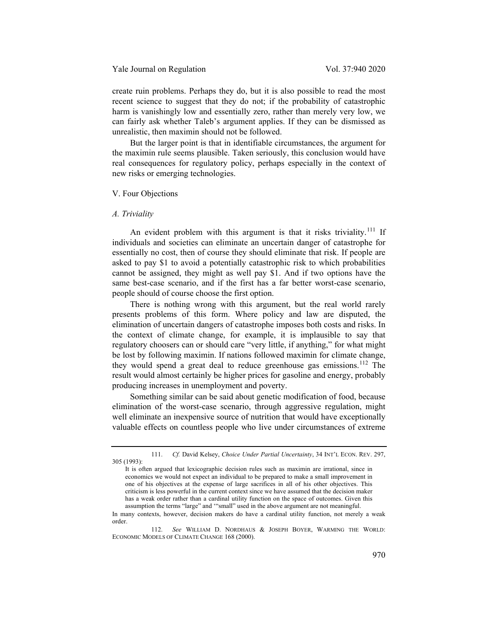create ruin problems. Perhaps they do, but it is also possible to read the most recent science to suggest that they do not; if the probability of catastrophic harm is vanishingly low and essentially zero, rather than merely very low, we can fairly ask whether Taleb's argument applies. If they can be dismissed as unrealistic, then maximin should not be followed.

But the larger point is that in identifiable circumstances, the argument for the maximin rule seems plausible. Taken seriously, this conclusion would have real consequences for regulatory policy, perhaps especially in the context of new risks or emerging technologies.

## V. Four Objections

### *A. Triviality*

An evident problem with this argument is that it risks triviality.<sup>[111](#page-30-0)</sup> If individuals and societies can eliminate an uncertain danger of catastrophe for essentially no cost, then of course they should eliminate that risk. If people are asked to pay \$1 to avoid a potentially catastrophic risk to which probabilities cannot be assigned, they might as well pay \$1. And if two options have the same best-case scenario, and if the first has a far better worst-case scenario, people should of course choose the first option.

There is nothing wrong with this argument, but the real world rarely presents problems of this form. Where policy and law are disputed, the elimination of uncertain dangers of catastrophe imposes both costs and risks. In the context of climate change, for example, it is implausible to say that regulatory choosers can or should care "very little, if anything," for what might be lost by following maximin. If nations followed maximin for climate change, they would spend a great deal to reduce greenhouse gas emissions.<sup>[112](#page-30-1)</sup> The result would almost certainly be higher prices for gasoline and energy, probably producing increases in unemployment and poverty.

Something similar can be said about genetic modification of food, because elimination of the worst-case scenario, through aggressive regulation, might well eliminate an inexpensive source of nutrition that would have exceptionally valuable effects on countless people who live under circumstances of extreme

<span id="page-30-0"></span><sup>111.</sup> *Cf.* David Kelsey, *Choice Under Partial Uncertainty*, 34 INT'L ECON. REV. 297, 305 (1993):

It is often argued that lexicographic decision rules such as maximin are irrational, since in economics we would not expect an individual to be prepared to make a small improvement in one of his objectives at the expense of large sacrifices in all of his other objectives. This criticism is less powerful in the current context since we have assumed that the decision maker has a weak order rather than a cardinal utility function on the space of outcomes. Given this assumption the terms "large" and '"small" used in the above argument are not meaningful.

In many contexts, however, decision makers do have a cardinal utility function, not merely a weak order.

<span id="page-30-1"></span><sup>112.</sup> *See* WILLIAM D. NORDHAUS & JOSEPH BOYER, WARMING THE WORLD: ECONOMIC MODELS OF CLIMATE CHANGE 168 (2000).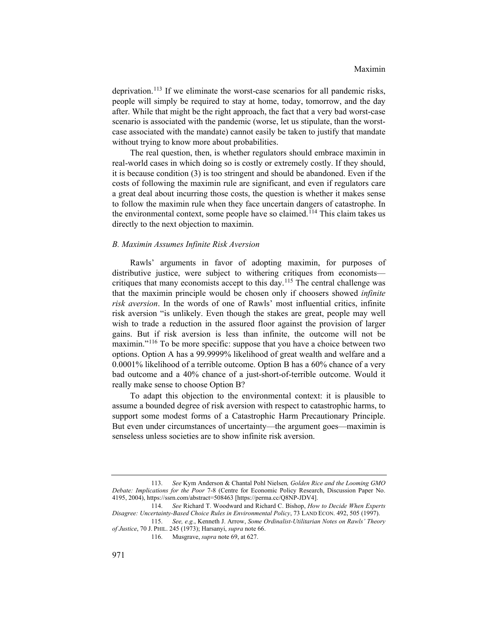deprivation.<sup>[113](#page-31-0)</sup> If we eliminate the worst-case scenarios for all pandemic risks, people will simply be required to stay at home, today, tomorrow, and the day after. While that might be the right approach, the fact that a very bad worst-case scenario is associated with the pandemic (worse, let us stipulate, than the worstcase associated with the mandate) cannot easily be taken to justify that mandate without trying to know more about probabilities.

The real question, then, is whether regulators should embrace maximin in real-world cases in which doing so is costly or extremely costly. If they should, it is because condition (3) is too stringent and should be abandoned. Even if the costs of following the maximin rule are significant, and even if regulators care a great deal about incurring those costs, the question is whether it makes sense to follow the maximin rule when they face uncertain dangers of catastrophe. In the environmental context, some people have so claimed.<sup>[114](#page-31-1)</sup> This claim takes us directly to the next objection to maximin.

#### *B. Maximin Assumes Infinite Risk Aversion*

Rawls' arguments in favor of adopting maximin, for purposes of distributive justice, were subject to withering critiques from economists critiques that many economists accept to this day.[115](#page-31-2) The central challenge was that the maximin principle would be chosen only if choosers showed *infinite risk aversion*. In the words of one of Rawls' most influential critics, infinite risk aversion "is unlikely. Even though the stakes are great, people may well wish to trade a reduction in the assured floor against the provision of larger gains. But if risk aversion is less than infinite, the outcome will not be maximin."<sup>[116](#page-31-3)</sup> To be more specific: suppose that you have a choice between two options. Option A has a 99.9999% likelihood of great wealth and welfare and a 0.0001% likelihood of a terrible outcome. Option B has a 60% chance of a very bad outcome and a 40% chance of a just-short-of-terrible outcome. Would it really make sense to choose Option B?

To adapt this objection to the environmental context: it is plausible to assume a bounded degree of risk aversion with respect to catastrophic harms, to support some modest forms of a Catastrophic Harm Precautionary Principle. But even under circumstances of uncertainty—the argument goes—maximin is senseless unless societies are to show infinite risk aversion.

<span id="page-31-0"></span><sup>113.</sup> *See* Kym Anderson & Chantal Pohl Nielsen*, Golden Rice and the Looming GMO Debate: Implications for the Poor* 7-8 (Centre for Economic Policy Research, Discussion Paper No. 4195, 2004), https://ssrn.com/abstract=508463 [https://perma.cc/Q8NP-JDV4].

<span id="page-31-1"></span><sup>114.</sup> *See* Richard T. Woodward and Richard C. Bishop, *How to Decide When Experts Disagree: Uncertainty-Based Choice Rules in Environmental Policy*, 73 LAND ECON. 492, 505 (1997).

<span id="page-31-3"></span><span id="page-31-2"></span><sup>115.</sup> *See, e.g.*, Kenneth J. Arrow, *Some Ordinalist-Utilitarian Notes on Rawls' Theory of Justice*, 70 J. PHIL. 245 (1973); Harsanyi, *supra* note [66.](#page-19-2)

<sup>116.</sup> Musgrave, *supra* not[e 69,](#page-20-3) at 627.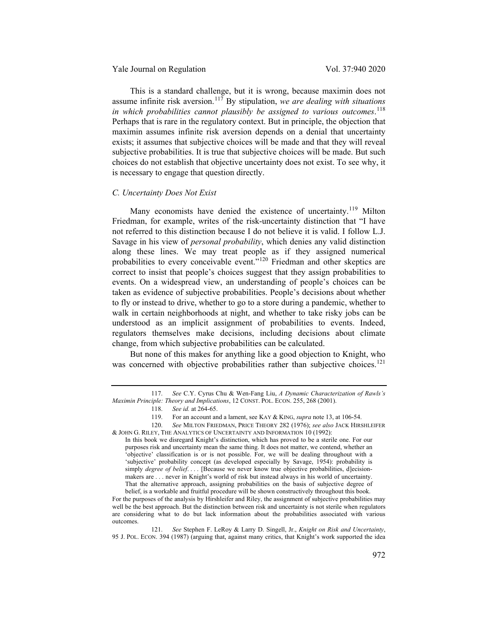Yale Journal on Regulation Vol. 37:940 2020

This is a standard challenge, but it is wrong, because maximin does not assume infinite risk aversion.[117](#page-32-0) By stipulation, *we are dealing with situations in which probabilities cannot plausibly be assigned to various outcomes*. [118](#page-32-1) Perhaps that is rare in the regulatory context. But in principle, the objection that maximin assumes infinite risk aversion depends on a denial that uncertainty exists; it assumes that subjective choices will be made and that they will reveal subjective probabilities. It is true that subjective choices will be made. But such choices do not establish that objective uncertainty does not exist. To see why, it is necessary to engage that question directly.

#### *C. Uncertainty Does Not Exist*

Many economists have denied the existence of uncertainty.<sup>[119](#page-32-2)</sup> Milton Friedman, for example, writes of the risk-uncertainty distinction that "I have not referred to this distinction because I do not believe it is valid. I follow L.J. Savage in his view of *personal probability*, which denies any valid distinction along these lines. We may treat people as if they assigned numerical probabilities to every conceivable event."[120](#page-32-3) Friedman and other skeptics are correct to insist that people's choices suggest that they assign probabilities to events. On a widespread view, an understanding of people's choices can be taken as evidence of subjective probabilities. People's decisions about whether to fly or instead to drive, whether to go to a store during a pandemic, whether to walk in certain neighborhoods at night, and whether to take risky jobs can be understood as an implicit assignment of probabilities to events. Indeed, regulators themselves make decisions, including decisions about climate change, from which subjective probabilities can be calculated.

But none of this makes for anything like a good objection to Knight, who was concerned with objective probabilities rather than subjective choices.<sup>[121](#page-32-4)</sup>

In this book we disregard Knight's distinction, which has proved to be a sterile one. For our purposes risk and uncertainty mean the same thing. It does not matter, we contend, whether an 'objective' classification is or is not possible. For, we will be dealing throughout with a 'subjective' probability concept (as developed especially by Savage, 1954): probability is simply *degree of belief*. . . [Because we never know true objective probabilities, d]ecisionmakers are . . . never in Knight's world of risk but instead always in his world of uncertainty. That the alternative approach, assigning probabilities on the basis of subjective degree of belief, is a workable and fruitful procedure will be shown constructively throughout this book.

For the purposes of the analysis by Hirshleifer and Riley, the assignment of subjective probabilities may well be the best approach. But the distinction between risk and uncertainty is not sterile when regulators are considering what to do but lack information about the probabilities associated with various outcomes.

<span id="page-32-4"></span>121. *See* Stephen F. LeRoy & Larry D. Singell, Jr., *Knight on Risk and Uncertainty*, 95 J. POL. ECON. 394 (1987) (arguing that, against many critics, that Knight's work supported the idea

<span id="page-32-1"></span><span id="page-32-0"></span><sup>117.</sup> *See* C.Y. Cyrus Chu & Wen-Fang Liu, *A Dynamic Characterization of Rawls's Maximin Principle: Theory and Implications*, 12 CONST. POL. ECON. 255, 268 (2001).

<sup>118.</sup> *See id.* at 264-65.

<sup>119.</sup> For an account and a lament, see KAY & KING, *supra* not[e 13,](#page-4-6) at 106-54.

<span id="page-32-3"></span><span id="page-32-2"></span><sup>120.</sup> *See* MILTON FRIEDMAN, PRICE THEORY 282 (1976); *see also* JACK HIRSHLEIFER & JOHN G. RILEY, THE ANALYTICS OF UNCERTAINTY AND INFORMATION 10 (1992):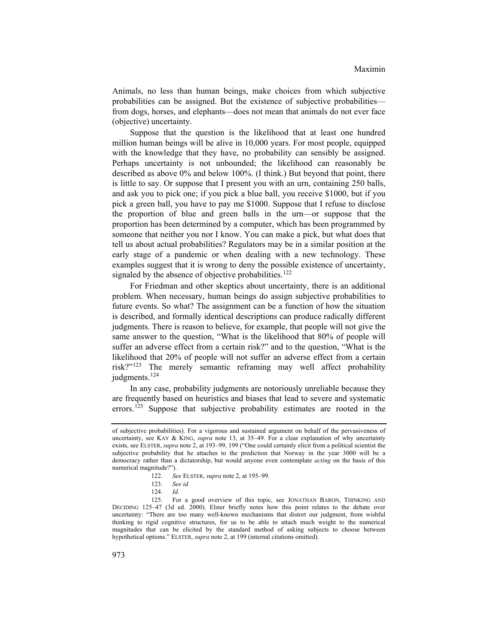Animals, no less than human beings, make choices from which subjective probabilities can be assigned. But the existence of subjective probabilities from dogs, horses, and elephants—does not mean that animals do not ever face (objective) uncertainty.

Suppose that the question is the likelihood that at least one hundred million human beings will be alive in 10,000 years. For most people, equipped with the knowledge that they have, no probability can sensibly be assigned. Perhaps uncertainty is not unbounded; the likelihood can reasonably be described as above 0% and below 100%. (I think.) But beyond that point, there is little to say. Or suppose that I present you with an urn, containing 250 balls, and ask you to pick one; if you pick a blue ball, you receive \$1000, but if you pick a green ball, you have to pay me \$1000. Suppose that I refuse to disclose the proportion of blue and green balls in the urn—or suppose that the proportion has been determined by a computer, which has been programmed by someone that neither you nor I know. You can make a pick, but what does that tell us about actual probabilities? Regulators may be in a similar position at the early stage of a pandemic or when dealing with a new technology. These examples suggest that it is wrong to deny the possible existence of uncertainty, signaled by the absence of objective probabilities.<sup>[122](#page-33-0)</sup>

For Friedman and other skeptics about uncertainty, there is an additional problem. When necessary, human beings do assign subjective probabilities to future events. So what? The assignment can be a function of how the situation is described, and formally identical descriptions can produce radically different judgments. There is reason to believe, for example, that people will not give the same answer to the question, "What is the likelihood that 80% of people will suffer an adverse effect from a certain risk?" and to the question, "What is the likelihood that 20% of people will not suffer an adverse effect from a certain risk?"[123](#page-33-1) The merely semantic reframing may well affect probability judgments.<sup>[124](#page-33-2)</sup>

In any case, probability judgments are notoriously unreliable because they are frequently based on heuristics and biases that lead to severe and systematic errors.<sup>[125](#page-33-3)</sup> Suppose that subjective probability estimates are rooted in the

of subjective probabilities). For a vigorous and sustained argument on behalf of the pervasiveness of uncertainty, see KAY & KING, *supra* note [13,](#page-4-6) at 35–49. For a clear explanation of why uncertainty exists, see ELSTER, *supra* not[e 2,](#page-2-7) at 193–99, 199 ("One could certainly elicit from a political scientist the subjective probability that he attaches to the prediction that Norway in the year 3000 will be a democracy rather than a dictatorship, but would anyone even contemplate *acting* on the basis of this numerical magnitude?").

<sup>122.</sup> *See* ELSTER, *supra* note [2,](#page-2-7) at 195–99.

<sup>123.</sup> *See id.*

<sup>124.</sup> *Id.*

<span id="page-33-3"></span><span id="page-33-2"></span><span id="page-33-1"></span><span id="page-33-0"></span><sup>125.</sup> For a good overview of this topic, see JONATHAN BARON, THINKING AND DECIDING 125–47 (3d ed. 2000). Elster briefly notes how this point relates to the debate over uncertainty: "There are too many well-known mechanisms that distort our judgment, from wishful thinking to rigid cognitive structures, for us to be able to attach much weight to the numerical magnitudes that can be elicited by the standard method of asking subjects to choose between hypothetical options." ELSTER, *supra* not[e 2,](#page-2-7) at 199 (internal citations omitted).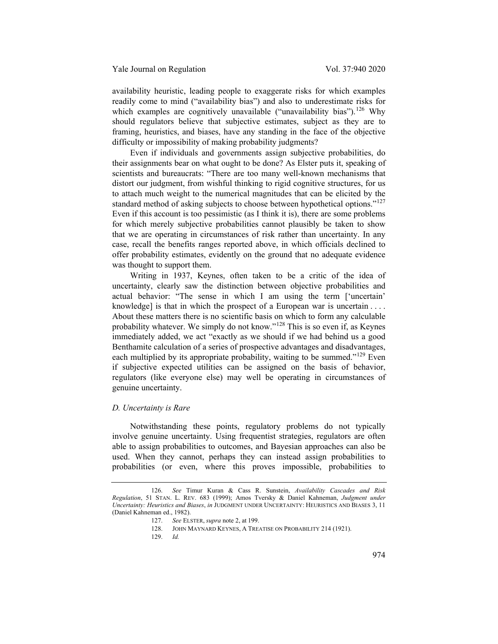availability heuristic, leading people to exaggerate risks for which examples readily come to mind ("availability bias") and also to underestimate risks for which examples are cognitively unavailable ("unavailability bias").<sup>[126](#page-34-0)</sup> Why should regulators believe that subjective estimates, subject as they are to framing, heuristics, and biases, have any standing in the face of the objective difficulty or impossibility of making probability judgments?

Even if individuals and governments assign subjective probabilities, do their assignments bear on what ought to be done? As Elster puts it, speaking of scientists and bureaucrats: "There are too many well-known mechanisms that distort our judgment, from wishful thinking to rigid cognitive structures, for us to attach much weight to the numerical magnitudes that can be elicited by the standard method of asking subjects to choose between hypothetical options."<sup>[127](#page-34-1)</sup> Even if this account is too pessimistic (as I think it is), there are some problems for which merely subjective probabilities cannot plausibly be taken to show that we are operating in circumstances of risk rather than uncertainty. In any case, recall the benefits ranges reported above, in which officials declined to offer probability estimates, evidently on the ground that no adequate evidence was thought to support them.

Writing in 1937, Keynes, often taken to be a critic of the idea of uncertainty, clearly saw the distinction between objective probabilities and actual behavior: "The sense in which I am using the term ['uncertain' knowledge] is that in which the prospect of a European war is uncertain . . . . About these matters there is no scientific basis on which to form any calculable probability whatever. We simply do not know."[128](#page-34-2) This is so even if, as Keynes immediately added, we act "exactly as we should if we had behind us a good Benthamite calculation of a series of prospective advantages and disadvantages, each multiplied by its appropriate probability, waiting to be summed."<sup>[129](#page-34-3)</sup> Even if subjective expected utilities can be assigned on the basis of behavior, regulators (like everyone else) may well be operating in circumstances of genuine uncertainty.

### *D. Uncertainty is Rare*

Notwithstanding these points, regulatory problems do not typically involve genuine uncertainty. Using frequentist strategies, regulators are often able to assign probabilities to outcomes, and Bayesian approaches can also be used. When they cannot, perhaps they can instead assign probabilities to probabilities (or even, where this proves impossible, probabilities to

<span id="page-34-3"></span><span id="page-34-2"></span><span id="page-34-1"></span><span id="page-34-0"></span><sup>126.</sup> *See* Timur Kuran & Cass R. Sunstein, *Availability Cascades and Risk Regulation*, 51 STAN. L. REV. 683 (1999); Amos Tversky & Daniel Kahneman, *Judgment under Uncertainty: Heuristics and Biases*, *in* JUDGMENT UNDER UNCERTAINTY: HEURISTICS AND BIASES 3, 11 (Daniel Kahneman ed., 1982).

<sup>127.</sup> *See* ELSTER, *supra* not[e 2,](#page-2-7) at 199.

<sup>128.</sup> JOHN MAYNARD KEYNES, A TREATISE ON PROBABILITY 214 (1921).

<sup>129.</sup> *Id.*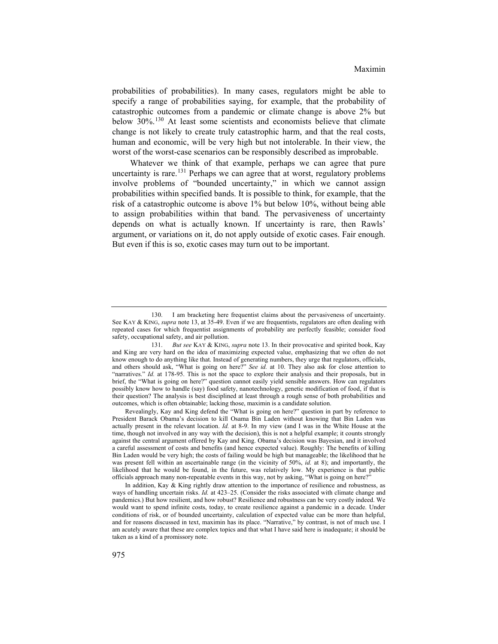probabilities of probabilities). In many cases, regulators might be able to specify a range of probabilities saying, for example, that the probability of catastrophic outcomes from a pandemic or climate change is above 2% but below 30%.<sup>[130](#page-35-0)</sup> At least some scientists and economists believe that climate change is not likely to create truly catastrophic harm, and that the real costs, human and economic, will be very high but not intolerable. In their view, the worst of the worst-case scenarios can be responsibly described as improbable.

Whatever we think of that example, perhaps we can agree that pure uncertainty is rare.<sup>[131](#page-35-1)</sup> Perhaps we can agree that at worst, regulatory problems involve problems of "bounded uncertainty," in which we cannot assign probabilities within specified bands. It is possible to think, for example, that the risk of a catastrophic outcome is above 1% but below 10%, without being able to assign probabilities within that band. The pervasiveness of uncertainty depends on what is actually known. If uncertainty is rare, then Rawls' argument, or variations on it, do not apply outside of exotic cases. Fair enough. But even if this is so, exotic cases may turn out to be important.

<span id="page-35-0"></span><sup>130.</sup> I am bracketing here frequentist claims about the pervasiveness of uncertainty. See KAY & KING, *supra* note [13,](#page-4-6) at 35-49. Even if we are frequentists, regulators are often dealing with repeated cases for which frequentist assignments of probability are perfectly feasible; consider food safety, occupational safety, and air pollution.

<span id="page-35-1"></span><sup>131.</sup> *But see* KAY & KING, *supra* not[e 13.](#page-4-6) In their provocative and spirited book, Kay and King are very hard on the idea of maximizing expected value, emphasizing that we often do not know enough to do anything like that. Instead of generating numbers, they urge that regulators, officials, and others should ask, "What is going on here?" *See id.* at 10. They also ask for close attention to "narratives." *Id.* at 178-95. This is not the space to explore their analysis and their proposals, but in brief, the "What is going on here?" question cannot easily yield sensible answers. How can regulators possibly know how to handle (say) food safety, nanotechnology, genetic modification of food, if that is their question? The analysis is best disciplined at least through a rough sense of both probabilities and outcomes, which is often obtainable; lacking those, maximin is a candidate solution.

Revealingly, Kay and King defend the "What is going on here?" question in part by reference to President Barack Obama's decision to kill Osama Bin Laden without knowing that Bin Laden was actually present in the relevant location. *Id.* at 8-9. In my view (and I was in the White House at the time, though not involved in any way with the decision), this is not a helpful example; it counts strongly against the central argument offered by Kay and King. Obama's decision was Bayesian, and it involved a careful assessment of costs and benefits (and hence expected value). Roughly: The benefits of killing Bin Laden would be very high; the costs of failing would be high but manageable; the likelihood that he was present fell within an ascertainable range (in the vicinity of 50%, *id.* at 8); and importantly, the likelihood that he would be found, in the future, was relatively low. My experience is that public officials approach many non-repeatable events in this way, not by asking, "What is going on here?"

In addition, Kay & King rightly draw attention to the importance of resilience and robustness, as ways of handling uncertain risks. *Id.* at 423–25. (Consider the risks associated with climate change and pandemics.) But how resilient, and how robust? Resilience and robustness can be very costly indeed. We would want to spend infinite costs, today, to create resilience against a pandemic in a decade. Under conditions of risk, or of bounded uncertainty, calculation of expected value can be more than helpful, and for reasons discussed in text, maximin has its place. "Narrative," by contrast, is not of much use. I am acutely aware that these are complex topics and that what I have said here is inadequate; it should be taken as a kind of a promissory note.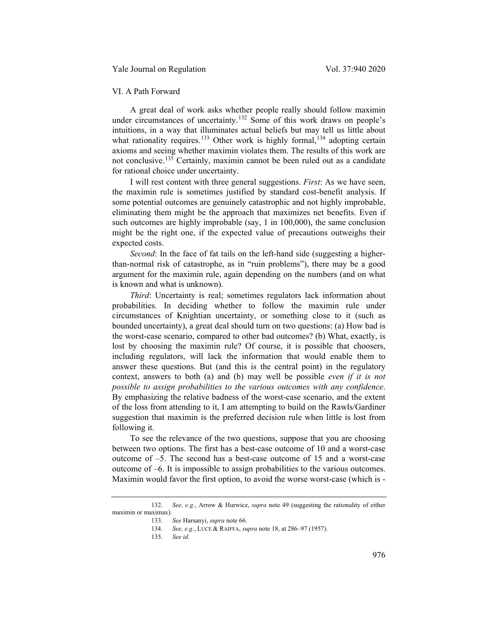## VI. A Path Forward

A great deal of work asks whether people really should follow maximin under circumstances of uncertainty.<sup>[132](#page-36-0)</sup> Some of this work draws on people's intuitions, in a way that illuminates actual beliefs but may tell us little about what rationality requires.<sup>[133](#page-36-1)</sup> Other work is highly formal,<sup>[134](#page-36-2)</sup> adopting certain axioms and seeing whether maximin violates them. The results of this work are not conclusive.<sup>[135](#page-36-3)</sup> Certainly, maximin cannot be been ruled out as a candidate for rational choice under uncertainty.

I will rest content with three general suggestions. *First*: As we have seen, the maximin rule is sometimes justified by standard cost-benefit analysis. If some potential outcomes are genuinely catastrophic and not highly improbable, eliminating them might be the approach that maximizes net benefits. Even if such outcomes are highly improbable (say, 1 in 100,000), the same conclusion might be the right one, if the expected value of precautions outweighs their expected costs.

*Second*: In the face of fat tails on the left-hand side (suggesting a higherthan-normal risk of catastrophe, as in "ruin problems"), there may be a good argument for the maximin rule, again depending on the numbers (and on what is known and what is unknown).

*Third*: Uncertainty is real; sometimes regulators lack information about probabilities. In deciding whether to follow the maximin rule under circumstances of Knightian uncertainty, or something close to it (such as bounded uncertainty), a great deal should turn on two questions: (a) How bad is the worst-case scenario, compared to other bad outcomes? (b) What, exactly, is lost by choosing the maximin rule? Of course, it is possible that choosers, including regulators, will lack the information that would enable them to answer these questions. But (and this is the central point) in the regulatory context, answers to both (a) and (b) may well be possible *even if it is not possible to assign probabilities to the various outcomes with any confidence*. By emphasizing the relative badness of the worst-case scenario, and the extent of the loss from attending to it, I am attempting to build on the Rawls/Gardiner suggestion that maximin is the preferred decision rule when little is lost from following it.

To see the relevance of the two questions, suppose that you are choosing between two options. The first has a best-case outcome of 10 and a worst-case outcome of –5. The second has a best-case outcome of 15 and a worst-case outcome of –6. It is impossible to assign probabilities to the various outcomes. Maximin would favor the first option, to avoid the worse worst-case (which is -

<span id="page-36-3"></span><span id="page-36-2"></span><span id="page-36-1"></span><span id="page-36-0"></span><sup>132.</sup> *See, e.g.*, Arrow & Hurwicz, *supra* note [49](#page-16-5) (suggesting the rationality of either maximin or maximax).

<sup>133.</sup> *See* Harsanyi, *supra* not[e 66.](#page-19-2)

<sup>134.</sup> *See, e.g.*, LUCE & RAIFFA, *supra* not[e 18,](#page-6-4) at 286–97 (1957).

<sup>135.</sup> *See id.*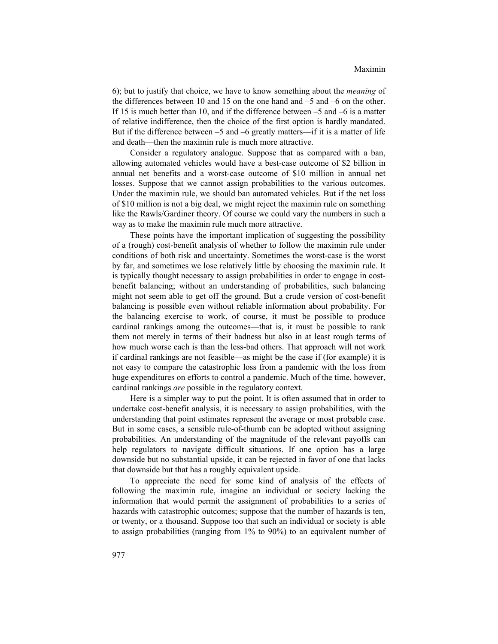6); but to justify that choice, we have to know something about the *meaning* of the differences between 10 and 15 on the one hand and –5 and –6 on the other. If 15 is much better than 10, and if the difference between –5 and –6 is a matter of relative indifference, then the choice of the first option is hardly mandated. But if the difference between  $-5$  and  $-6$  greatly matters—if it is a matter of life and death—then the maximin rule is much more attractive.

Consider a regulatory analogue. Suppose that as compared with a ban, allowing automated vehicles would have a best-case outcome of \$2 billion in annual net benefits and a worst-case outcome of \$10 million in annual net losses. Suppose that we cannot assign probabilities to the various outcomes. Under the maximin rule, we should ban automated vehicles. But if the net loss of \$10 million is not a big deal, we might reject the maximin rule on something like the Rawls/Gardiner theory. Of course we could vary the numbers in such a way as to make the maximin rule much more attractive.

These points have the important implication of suggesting the possibility of a (rough) cost-benefit analysis of whether to follow the maximin rule under conditions of both risk and uncertainty. Sometimes the worst-case is the worst by far, and sometimes we lose relatively little by choosing the maximin rule. It is typically thought necessary to assign probabilities in order to engage in costbenefit balancing; without an understanding of probabilities, such balancing might not seem able to get off the ground. But a crude version of cost-benefit balancing is possible even without reliable information about probability. For the balancing exercise to work, of course, it must be possible to produce cardinal rankings among the outcomes—that is, it must be possible to rank them not merely in terms of their badness but also in at least rough terms of how much worse each is than the less-bad others. That approach will not work if cardinal rankings are not feasible—as might be the case if (for example) it is not easy to compare the catastrophic loss from a pandemic with the loss from huge expenditures on efforts to control a pandemic. Much of the time, however, cardinal rankings *are* possible in the regulatory context.

Here is a simpler way to put the point. It is often assumed that in order to undertake cost-benefit analysis, it is necessary to assign probabilities, with the understanding that point estimates represent the average or most probable case. But in some cases, a sensible rule-of-thumb can be adopted without assigning probabilities. An understanding of the magnitude of the relevant payoffs can help regulators to navigate difficult situations. If one option has a large downside but no substantial upside, it can be rejected in favor of one that lacks that downside but that has a roughly equivalent upside.

To appreciate the need for some kind of analysis of the effects of following the maximin rule, imagine an individual or society lacking the information that would permit the assignment of probabilities to a series of hazards with catastrophic outcomes; suppose that the number of hazards is ten, or twenty, or a thousand. Suppose too that such an individual or society is able to assign probabilities (ranging from 1% to 90%) to an equivalent number of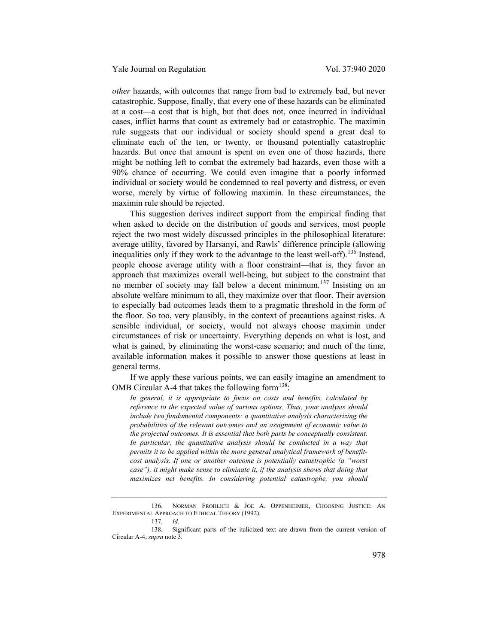*other* hazards, with outcomes that range from bad to extremely bad, but never catastrophic. Suppose, finally, that every one of these hazards can be eliminated at a cost—a cost that is high, but that does not, once incurred in individual cases, inflict harms that count as extremely bad or catastrophic. The maximin rule suggests that our individual or society should spend a great deal to eliminate each of the ten, or twenty, or thousand potentially catastrophic hazards. But once that amount is spent on even one of those hazards, there might be nothing left to combat the extremely bad hazards, even those with a 90% chance of occurring. We could even imagine that a poorly informed individual or society would be condemned to real poverty and distress, or even worse, merely by virtue of following maximin. In these circumstances, the maximin rule should be rejected.

This suggestion derives indirect support from the empirical finding that when asked to decide on the distribution of goods and services, most people reject the two most widely discussed principles in the philosophical literature: average utility, favored by Harsanyi, and Rawls' difference principle (allowing inequalities only if they work to the advantage to the least well-off).<sup>[136](#page-38-0)</sup> Instead, people choose average utility with a floor constraint—that is, they favor an approach that maximizes overall well-being, but subject to the constraint that no member of society may fall below a decent minimum.<sup>[137](#page-38-1)</sup> Insisting on an absolute welfare minimum to all, they maximize over that floor. Their aversion to especially bad outcomes leads them to a pragmatic threshold in the form of the floor. So too, very plausibly, in the context of precautions against risks. A sensible individual, or society, would not always choose maximin under circumstances of risk or uncertainty. Everything depends on what is lost, and what is gained, by eliminating the worst-case scenario; and much of the time, available information makes it possible to answer those questions at least in general terms.

If we apply these various points, we can easily imagine an amendment to OMB Circular A-4 that takes the following form $138$ :

*In general, it is appropriate to focus on costs and benefits, calculated by reference to the expected value of various options. Thus, your analysis should include two fundamental components: a quantitative analysis characterizing the probabilities of the relevant outcomes and an assignment of economic value to the projected outcomes. It is essential that both parts be conceptually consistent. In particular, the quantitative analysis should be conducted in a way that permits it to be applied within the more general analytical framework of benefitcost analysis. If one or another outcome is potentially catastrophic (a "worst case"), it might make sense to eliminate it, if the analysis shows that doing that maximizes net benefits. In considering potential catastrophe, you should* 

<span id="page-38-0"></span><sup>136.</sup> NORMAN FROHLICH & JOE A. OPPENHEIMER, CHOOSING JUSTICE: AN EXPERIMENTAL APPROACH TO ETHICAL THEORY (1992).

<sup>137.</sup> *Id.*

<span id="page-38-2"></span><span id="page-38-1"></span><sup>138.</sup> Significant parts of the italicized text are drawn from the current version of Circular A-4, *supra* not[e 3.](#page-2-4)